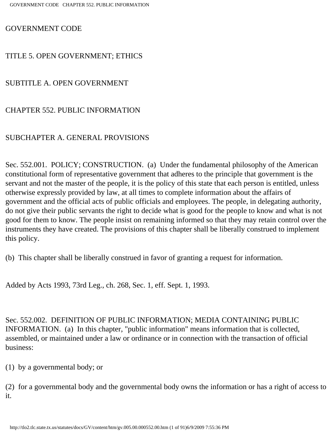GOVERNMENT CODE

## TITLE 5. OPEN GOVERNMENT; ETHICS

SUBTITLE A. OPEN GOVERNMENT

## CHAPTER 552. PUBLIC INFORMATION

# SUBCHAPTER A. GENERAL PROVISIONS

Sec. 552.001. POLICY; CONSTRUCTION. (a) Under the fundamental philosophy of the American constitutional form of representative government that adheres to the principle that government is the servant and not the master of the people, it is the policy of this state that each person is entitled, unless otherwise expressly provided by law, at all times to complete information about the affairs of government and the official acts of public officials and employees. The people, in delegating authority, do not give their public servants the right to decide what is good for the people to know and what is not good for them to know. The people insist on remaining informed so that they may retain control over the instruments they have created. The provisions of this chapter shall be liberally construed to implement this policy.

(b) This chapter shall be liberally construed in favor of granting a request for information.

Added by Acts 1993, 73rd Leg., ch. 268, Sec. 1, eff. Sept. 1, 1993.

Sec. 552.002. DEFINITION OF PUBLIC INFORMATION; MEDIA CONTAINING PUBLIC INFORMATION. (a) In this chapter, "public information" means information that is collected, assembled, or maintained under a law or ordinance or in connection with the transaction of official business:

(1) by a governmental body; or

(2) for a governmental body and the governmental body owns the information or has a right of access to it.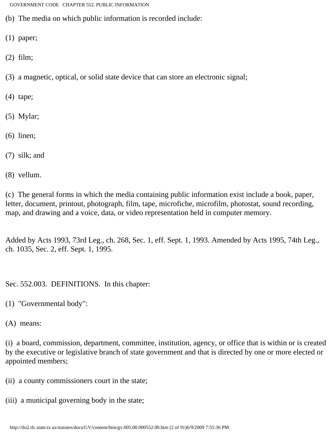- (b) The media on which public information is recorded include:
- (1) paper;
- (2) film;
- (3) a magnetic, optical, or solid state device that can store an electronic signal;
- (4) tape;
- (5) Mylar;
- (6) linen;
- (7) silk; and
- (8) vellum.

(c) The general forms in which the media containing public information exist include a book, paper, letter, document, printout, photograph, film, tape, microfiche, microfilm, photostat, sound recording, map, and drawing and a voice, data, or video representation held in computer memory.

Added by Acts 1993, 73rd Leg., ch. 268, Sec. 1, eff. Sept. 1, 1993. Amended by Acts 1995, 74th Leg., ch. 1035, Sec. 2, eff. Sept. 1, 1995.

Sec. 552.003. DEFINITIONS. In this chapter:

- (1) "Governmental body":
- (A) means:

(i) a board, commission, department, committee, institution, agency, or office that is within or is created by the executive or legislative branch of state government and that is directed by one or more elected or appointed members;

(ii) a county commissioners court in the state;

(iii) a municipal governing body in the state;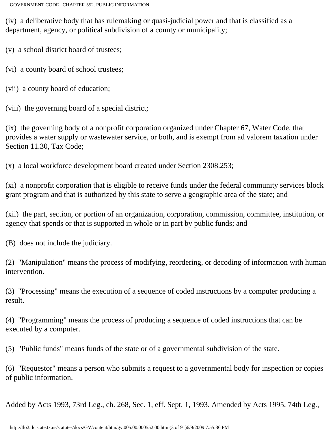(iv) a deliberative body that has rulemaking or quasi-judicial power and that is classified as a department, agency, or political subdivision of a county or municipality;

(v) a school district board of trustees;

(vi) a county board of school trustees;

(vii) a county board of education;

(viii) the governing board of a special district;

(ix) the governing body of a nonprofit corporation organized under Chapter 67, Water Code, that provides a water supply or wastewater service, or both, and is exempt from ad valorem taxation under Section 11.30, Tax Code;

(x) a local workforce development board created under Section 2308.253;

(xi) a nonprofit corporation that is eligible to receive funds under the federal community services block grant program and that is authorized by this state to serve a geographic area of the state; and

(xii) the part, section, or portion of an organization, corporation, commission, committee, institution, or agency that spends or that is supported in whole or in part by public funds; and

(B) does not include the judiciary.

(2) "Manipulation" means the process of modifying, reordering, or decoding of information with human intervention.

(3) "Processing" means the execution of a sequence of coded instructions by a computer producing a result.

(4) "Programming" means the process of producing a sequence of coded instructions that can be executed by a computer.

(5) "Public funds" means funds of the state or of a governmental subdivision of the state.

(6) "Requestor" means a person who submits a request to a governmental body for inspection or copies of public information.

Added by Acts 1993, 73rd Leg., ch. 268, Sec. 1, eff. Sept. 1, 1993. Amended by Acts 1995, 74th Leg.,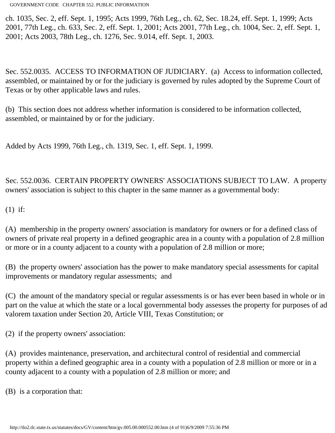ch. 1035, Sec. 2, eff. Sept. 1, 1995; Acts 1999, 76th Leg., ch. 62, Sec. 18.24, eff. Sept. 1, 1999; Acts 2001, 77th Leg., ch. 633, Sec. 2, eff. Sept. 1, 2001; Acts 2001, 77th Leg., ch. 1004, Sec. 2, eff. Sept. 1, 2001; Acts 2003, 78th Leg., ch. 1276, Sec. 9.014, eff. Sept. 1, 2003.

Sec. 552.0035. ACCESS TO INFORMATION OF JUDICIARY. (a) Access to information collected, assembled, or maintained by or for the judiciary is governed by rules adopted by the Supreme Court of Texas or by other applicable laws and rules.

(b) This section does not address whether information is considered to be information collected, assembled, or maintained by or for the judiciary.

Added by Acts 1999, 76th Leg., ch. 1319, Sec. 1, eff. Sept. 1, 1999.

Sec. 552.0036. CERTAIN PROPERTY OWNERS' ASSOCIATIONS SUBJECT TO LAW. A property owners' association is subject to this chapter in the same manner as a governmental body:

(1) if:

(A) membership in the property owners' association is mandatory for owners or for a defined class of owners of private real property in a defined geographic area in a county with a population of 2.8 million or more or in a county adjacent to a county with a population of 2.8 million or more;

(B) the property owners' association has the power to make mandatory special assessments for capital improvements or mandatory regular assessments; and

(C) the amount of the mandatory special or regular assessments is or has ever been based in whole or in part on the value at which the state or a local governmental body assesses the property for purposes of ad valorem taxation under Section 20, Article VIII, Texas Constitution; or

(2) if the property owners' association:

(A) provides maintenance, preservation, and architectural control of residential and commercial property within a defined geographic area in a county with a population of 2.8 million or more or in a county adjacent to a county with a population of 2.8 million or more; and

(B) is a corporation that: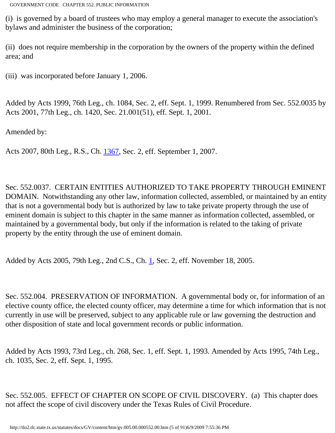(i) is governed by a board of trustees who may employ a general manager to execute the association's bylaws and administer the business of the corporation;

(ii) does not require membership in the corporation by the owners of the property within the defined area; and

(iii) was incorporated before January 1, 2006.

Added by Acts 1999, 76th Leg., ch. 1084, Sec. 2, eff. Sept. 1, 1999. Renumbered from Sec. 552.0035 by Acts 2001, 77th Leg., ch. 1420, Sec. 21.001(51), eff. Sept. 1, 2001.

Amended by:

Acts 2007, 80th Leg., R.S., Ch. [1367](http://www.legis.state.tx.us/tlodocs/80R/billtext/html/HB03674F.HTM), Sec. 2, eff. September 1, 2007.

Sec. 552.0037. CERTAIN ENTITIES AUTHORIZED TO TAKE PROPERTY THROUGH EMINENT DOMAIN. Notwithstanding any other law, information collected, assembled, or maintained by an entity that is not a governmental body but is authorized by law to take private property through the use of eminent domain is subject to this chapter in the same manner as information collected, assembled, or maintained by a governmental body, but only if the information is related to the taking of private property by the entity through the use of eminent domain.

Added by Acts 2005, 79th Leg., 2nd C.S., Ch. [1](http://www.legis.state.tx.us/tlodocs/792/billtext/html/SB00007F.HTM), Sec. 2, eff. November 18, 2005.

Sec. 552.004. PRESERVATION OF INFORMATION. A governmental body or, for information of an elective county office, the elected county officer, may determine a time for which information that is not currently in use will be preserved, subject to any applicable rule or law governing the destruction and other disposition of state and local government records or public information.

Added by Acts 1993, 73rd Leg., ch. 268, Sec. 1, eff. Sept. 1, 1993. Amended by Acts 1995, 74th Leg., ch. 1035, Sec. 2, eff. Sept. 1, 1995.

Sec. 552.005. EFFECT OF CHAPTER ON SCOPE OF CIVIL DISCOVERY. (a) This chapter does not affect the scope of civil discovery under the Texas Rules of Civil Procedure.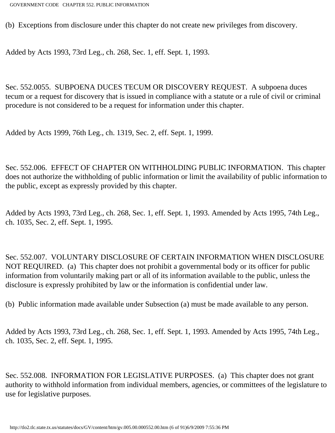(b) Exceptions from disclosure under this chapter do not create new privileges from discovery.

Added by Acts 1993, 73rd Leg., ch. 268, Sec. 1, eff. Sept. 1, 1993.

Sec. 552.0055. SUBPOENA DUCES TECUM OR DISCOVERY REQUEST. A subpoena duces tecum or a request for discovery that is issued in compliance with a statute or a rule of civil or criminal procedure is not considered to be a request for information under this chapter.

Added by Acts 1999, 76th Leg., ch. 1319, Sec. 2, eff. Sept. 1, 1999.

Sec. 552.006. EFFECT OF CHAPTER ON WITHHOLDING PUBLIC INFORMATION. This chapter does not authorize the withholding of public information or limit the availability of public information to the public, except as expressly provided by this chapter.

Added by Acts 1993, 73rd Leg., ch. 268, Sec. 1, eff. Sept. 1, 1993. Amended by Acts 1995, 74th Leg., ch. 1035, Sec. 2, eff. Sept. 1, 1995.

Sec. 552.007. VOLUNTARY DISCLOSURE OF CERTAIN INFORMATION WHEN DISCLOSURE NOT REQUIRED. (a) This chapter does not prohibit a governmental body or its officer for public information from voluntarily making part or all of its information available to the public, unless the disclosure is expressly prohibited by law or the information is confidential under law.

(b) Public information made available under Subsection (a) must be made available to any person.

Added by Acts 1993, 73rd Leg., ch. 268, Sec. 1, eff. Sept. 1, 1993. Amended by Acts 1995, 74th Leg., ch. 1035, Sec. 2, eff. Sept. 1, 1995.

Sec. 552.008. INFORMATION FOR LEGISLATIVE PURPOSES. (a) This chapter does not grant authority to withhold information from individual members, agencies, or committees of the legislature to use for legislative purposes.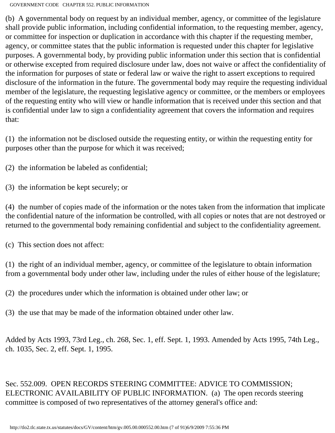(b) A governmental body on request by an individual member, agency, or committee of the legislature shall provide public information, including confidential information, to the requesting member, agency, or committee for inspection or duplication in accordance with this chapter if the requesting member, agency, or committee states that the public information is requested under this chapter for legislative purposes. A governmental body, by providing public information under this section that is confidential or otherwise excepted from required disclosure under law, does not waive or affect the confidentiality of the information for purposes of state or federal law or waive the right to assert exceptions to required disclosure of the information in the future. The governmental body may require the requesting individual member of the legislature, the requesting legislative agency or committee, or the members or employees of the requesting entity who will view or handle information that is received under this section and that is confidential under law to sign a confidentiality agreement that covers the information and requires that:

(1) the information not be disclosed outside the requesting entity, or within the requesting entity for purposes other than the purpose for which it was received;

(2) the information be labeled as confidential;

(3) the information be kept securely; or

(4) the number of copies made of the information or the notes taken from the information that implicate the confidential nature of the information be controlled, with all copies or notes that are not destroyed or returned to the governmental body remaining confidential and subject to the confidentiality agreement.

(c) This section does not affect:

(1) the right of an individual member, agency, or committee of the legislature to obtain information from a governmental body under other law, including under the rules of either house of the legislature;

(2) the procedures under which the information is obtained under other law; or

(3) the use that may be made of the information obtained under other law.

Added by Acts 1993, 73rd Leg., ch. 268, Sec. 1, eff. Sept. 1, 1993. Amended by Acts 1995, 74th Leg., ch. 1035, Sec. 2, eff. Sept. 1, 1995.

Sec. 552.009. OPEN RECORDS STEERING COMMITTEE: ADVICE TO COMMISSION; ELECTRONIC AVAILABILITY OF PUBLIC INFORMATION. (a) The open records steering committee is composed of two representatives of the attorney general's office and: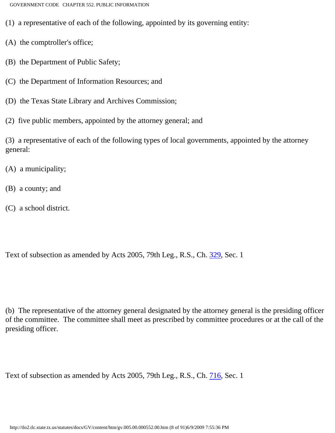- (1) a representative of each of the following, appointed by its governing entity:
- (A) the comptroller's office;
- (B) the Department of Public Safety;
- (C) the Department of Information Resources; and
- (D) the Texas State Library and Archives Commission;
- (2) five public members, appointed by the attorney general; and

(3) a representative of each of the following types of local governments, appointed by the attorney general:

- (A) a municipality;
- (B) a county; and
- (C) a school district.

Text of subsection as amended by Acts 2005, 79th Leg., R.S., Ch. [329,](http://www.legis.state.tx.us/tlodocs/79R/billtext/html/SB00727F.HTM) Sec. 1

(b) The representative of the attorney general designated by the attorney general is the presiding officer of the committee. The committee shall meet as prescribed by committee procedures or at the call of the presiding officer.

Text of subsection as amended by Acts 2005, 79th Leg., R.S., Ch. [716,](http://www.legis.state.tx.us/tlodocs/79R/billtext/html/SB00452F.HTM) Sec. 1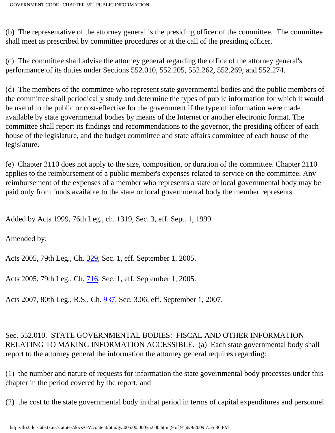(b) The representative of the attorney general is the presiding officer of the committee. The committee shall meet as prescribed by committee procedures or at the call of the presiding officer.

(c) The committee shall advise the attorney general regarding the office of the attorney general's performance of its duties under Sections 552.010, 552.205, 552.262, 552.269, and 552.274.

(d) The members of the committee who represent state governmental bodies and the public members of the committee shall periodically study and determine the types of public information for which it would be useful to the public or cost-effective for the government if the type of information were made available by state governmental bodies by means of the Internet or another electronic format. The committee shall report its findings and recommendations to the governor, the presiding officer of each house of the legislature, and the budget committee and state affairs committee of each house of the legislature.

(e) Chapter 2110 does not apply to the size, composition, or duration of the committee. Chapter 2110 applies to the reimbursement of a public member's expenses related to service on the committee. Any reimbursement of the expenses of a member who represents a state or local governmental body may be paid only from funds available to the state or local governmental body the member represents.

Added by Acts 1999, 76th Leg., ch. 1319, Sec. 3, eff. Sept. 1, 1999.

Amended by:

Acts 2005, 79th Leg., Ch. [329](http://www.legis.state.tx.us/tlodocs/79R/billtext/html/SB00727F.HTM), Sec. 1, eff. September 1, 2005.

Acts 2005, 79th Leg., Ch. [716](http://www.legis.state.tx.us/tlodocs/79R/billtext/html/SB00452F.HTM), Sec. 1, eff. September 1, 2005.

Acts 2007, 80th Leg., R.S., Ch. [937](http://www.legis.state.tx.us/tlodocs/80R/billtext/html/HB03560F.HTM), Sec. 3.06, eff. September 1, 2007.

Sec. 552.010. STATE GOVERNMENTAL BODIES: FISCAL AND OTHER INFORMATION RELATING TO MAKING INFORMATION ACCESSIBLE. (a) Each state governmental body shall report to the attorney general the information the attorney general requires regarding:

(1) the number and nature of requests for information the state governmental body processes under this chapter in the period covered by the report; and

(2) the cost to the state governmental body in that period in terms of capital expenditures and personnel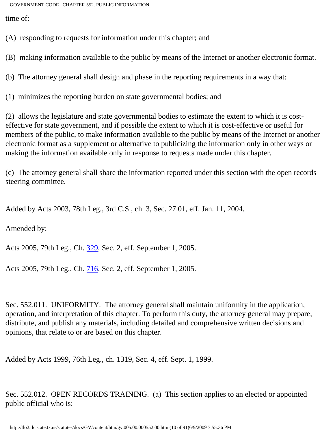time of:

(A) responding to requests for information under this chapter; and

(B) making information available to the public by means of the Internet or another electronic format.

(b) The attorney general shall design and phase in the reporting requirements in a way that:

(1) minimizes the reporting burden on state governmental bodies; and

(2) allows the legislature and state governmental bodies to estimate the extent to which it is costeffective for state government, and if possible the extent to which it is cost-effective or useful for members of the public, to make information available to the public by means of the Internet or another electronic format as a supplement or alternative to publicizing the information only in other ways or making the information available only in response to requests made under this chapter.

(c) The attorney general shall share the information reported under this section with the open records steering committee.

Added by Acts 2003, 78th Leg., 3rd C.S., ch. 3, Sec. 27.01, eff. Jan. 11, 2004.

Amended by:

Acts 2005, 79th Leg., Ch. [329](http://www.legis.state.tx.us/tlodocs/79R/billtext/html/SB00727F.HTM), Sec. 2, eff. September 1, 2005.

Acts 2005, 79th Leg., Ch. [716](http://www.legis.state.tx.us/tlodocs/79R/billtext/html/SB00452F.HTM), Sec. 2, eff. September 1, 2005.

Sec. 552.011. UNIFORMITY. The attorney general shall maintain uniformity in the application, operation, and interpretation of this chapter. To perform this duty, the attorney general may prepare, distribute, and publish any materials, including detailed and comprehensive written decisions and opinions, that relate to or are based on this chapter.

Added by Acts 1999, 76th Leg., ch. 1319, Sec. 4, eff. Sept. 1, 1999.

Sec. 552.012. OPEN RECORDS TRAINING. (a) This section applies to an elected or appointed public official who is: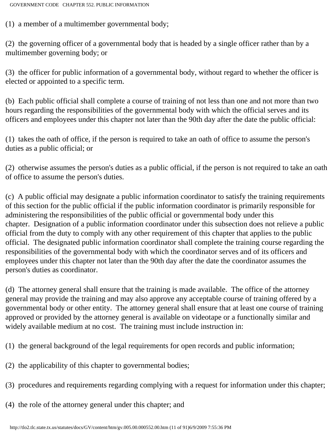(1) a member of a multimember governmental body;

(2) the governing officer of a governmental body that is headed by a single officer rather than by a multimember governing body; or

(3) the officer for public information of a governmental body, without regard to whether the officer is elected or appointed to a specific term.

(b) Each public official shall complete a course of training of not less than one and not more than two hours regarding the responsibilities of the governmental body with which the official serves and its officers and employees under this chapter not later than the 90th day after the date the public official:

(1) takes the oath of office, if the person is required to take an oath of office to assume the person's duties as a public official; or

(2) otherwise assumes the person's duties as a public official, if the person is not required to take an oath of office to assume the person's duties.

(c) A public official may designate a public information coordinator to satisfy the training requirements of this section for the public official if the public information coordinator is primarily responsible for administering the responsibilities of the public official or governmental body under this chapter. Designation of a public information coordinator under this subsection does not relieve a public official from the duty to comply with any other requirement of this chapter that applies to the public official. The designated public information coordinator shall complete the training course regarding the responsibilities of the governmental body with which the coordinator serves and of its officers and employees under this chapter not later than the 90th day after the date the coordinator assumes the person's duties as coordinator.

(d) The attorney general shall ensure that the training is made available. The office of the attorney general may provide the training and may also approve any acceptable course of training offered by a governmental body or other entity. The attorney general shall ensure that at least one course of training approved or provided by the attorney general is available on videotape or a functionally similar and widely available medium at no cost. The training must include instruction in:

- (1) the general background of the legal requirements for open records and public information;
- (2) the applicability of this chapter to governmental bodies;
- (3) procedures and requirements regarding complying with a request for information under this chapter;
- (4) the role of the attorney general under this chapter; and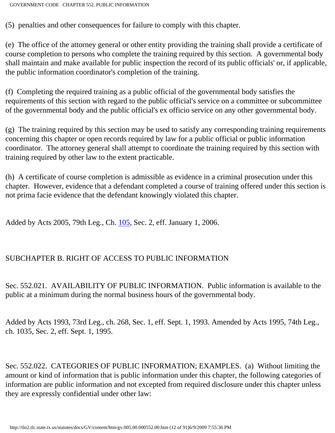(5) penalties and other consequences for failure to comply with this chapter.

(e) The office of the attorney general or other entity providing the training shall provide a certificate of course completion to persons who complete the training required by this section. A governmental body shall maintain and make available for public inspection the record of its public officials' or, if applicable, the public information coordinator's completion of the training.

(f) Completing the required training as a public official of the governmental body satisfies the requirements of this section with regard to the public official's service on a committee or subcommittee of the governmental body and the public official's ex officio service on any other governmental body.

(g) The training required by this section may be used to satisfy any corresponding training requirements concerning this chapter or open records required by law for a public official or public information coordinator. The attorney general shall attempt to coordinate the training required by this section with training required by other law to the extent practicable.

(h) A certificate of course completion is admissible as evidence in a criminal prosecution under this chapter. However, evidence that a defendant completed a course of training offered under this section is not prima facie evidence that the defendant knowingly violated this chapter.

Added by Acts 2005, 79th Leg., Ch. [105](http://www.legis.state.tx.us/tlodocs/79R/billtext/html/SB00286F.HTM), Sec. 2, eff. January 1, 2006.

# SUBCHAPTER B. RIGHT OF ACCESS TO PUBLIC INFORMATION

Sec. 552.021. AVAILABILITY OF PUBLIC INFORMATION. Public information is available to the public at a minimum during the normal business hours of the governmental body.

Added by Acts 1993, 73rd Leg., ch. 268, Sec. 1, eff. Sept. 1, 1993. Amended by Acts 1995, 74th Leg., ch. 1035, Sec. 2, eff. Sept. 1, 1995.

Sec. 552.022. CATEGORIES OF PUBLIC INFORMATION; EXAMPLES. (a) Without limiting the amount or kind of information that is public information under this chapter, the following categories of information are public information and not excepted from required disclosure under this chapter unless they are expressly confidential under other law: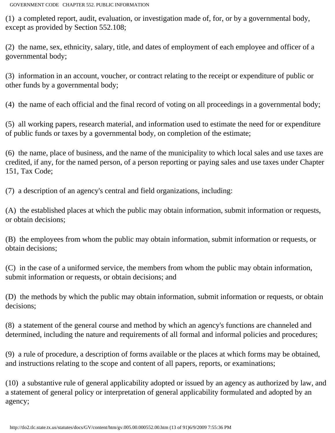(1) a completed report, audit, evaluation, or investigation made of, for, or by a governmental body, except as provided by Section 552.108;

(2) the name, sex, ethnicity, salary, title, and dates of employment of each employee and officer of a governmental body;

(3) information in an account, voucher, or contract relating to the receipt or expenditure of public or other funds by a governmental body;

(4) the name of each official and the final record of voting on all proceedings in a governmental body;

(5) all working papers, research material, and information used to estimate the need for or expenditure of public funds or taxes by a governmental body, on completion of the estimate;

(6) the name, place of business, and the name of the municipality to which local sales and use taxes are credited, if any, for the named person, of a person reporting or paying sales and use taxes under Chapter 151, Tax Code;

(7) a description of an agency's central and field organizations, including:

(A) the established places at which the public may obtain information, submit information or requests, or obtain decisions;

(B) the employees from whom the public may obtain information, submit information or requests, or obtain decisions;

(C) in the case of a uniformed service, the members from whom the public may obtain information, submit information or requests, or obtain decisions; and

(D) the methods by which the public may obtain information, submit information or requests, or obtain decisions;

(8) a statement of the general course and method by which an agency's functions are channeled and determined, including the nature and requirements of all formal and informal policies and procedures;

(9) a rule of procedure, a description of forms available or the places at which forms may be obtained, and instructions relating to the scope and content of all papers, reports, or examinations;

(10) a substantive rule of general applicability adopted or issued by an agency as authorized by law, and a statement of general policy or interpretation of general applicability formulated and adopted by an agency;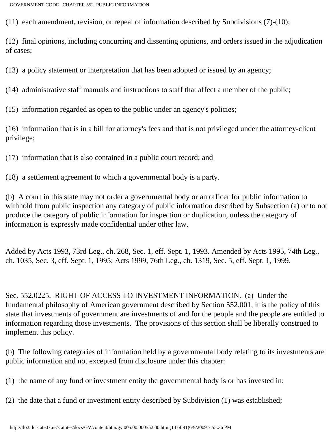(11) each amendment, revision, or repeal of information described by Subdivisions (7)-(10);

(12) final opinions, including concurring and dissenting opinions, and orders issued in the adjudication of cases;

(13) a policy statement or interpretation that has been adopted or issued by an agency;

(14) administrative staff manuals and instructions to staff that affect a member of the public;

(15) information regarded as open to the public under an agency's policies;

(16) information that is in a bill for attorney's fees and that is not privileged under the attorney-client privilege;

(17) information that is also contained in a public court record; and

(18) a settlement agreement to which a governmental body is a party.

(b) A court in this state may not order a governmental body or an officer for public information to withhold from public inspection any category of public information described by Subsection (a) or to not produce the category of public information for inspection or duplication, unless the category of information is expressly made confidential under other law.

Added by Acts 1993, 73rd Leg., ch. 268, Sec. 1, eff. Sept. 1, 1993. Amended by Acts 1995, 74th Leg., ch. 1035, Sec. 3, eff. Sept. 1, 1995; Acts 1999, 76th Leg., ch. 1319, Sec. 5, eff. Sept. 1, 1999.

Sec. 552.0225. RIGHT OF ACCESS TO INVESTMENT INFORMATION. (a) Under the fundamental philosophy of American government described by Section 552.001, it is the policy of this state that investments of government are investments of and for the people and the people are entitled to information regarding those investments. The provisions of this section shall be liberally construed to implement this policy.

(b) The following categories of information held by a governmental body relating to its investments are public information and not excepted from disclosure under this chapter:

(1) the name of any fund or investment entity the governmental body is or has invested in;

(2) the date that a fund or investment entity described by Subdivision (1) was established;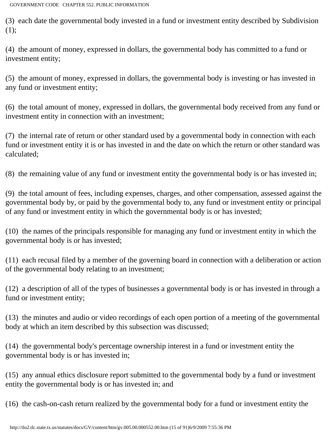(3) each date the governmental body invested in a fund or investment entity described by Subdivision (1);

(4) the amount of money, expressed in dollars, the governmental body has committed to a fund or investment entity;

(5) the amount of money, expressed in dollars, the governmental body is investing or has invested in any fund or investment entity;

(6) the total amount of money, expressed in dollars, the governmental body received from any fund or investment entity in connection with an investment;

(7) the internal rate of return or other standard used by a governmental body in connection with each fund or investment entity it is or has invested in and the date on which the return or other standard was calculated;

(8) the remaining value of any fund or investment entity the governmental body is or has invested in;

(9) the total amount of fees, including expenses, charges, and other compensation, assessed against the governmental body by, or paid by the governmental body to, any fund or investment entity or principal of any fund or investment entity in which the governmental body is or has invested;

(10) the names of the principals responsible for managing any fund or investment entity in which the governmental body is or has invested;

(11) each recusal filed by a member of the governing board in connection with a deliberation or action of the governmental body relating to an investment;

(12) a description of all of the types of businesses a governmental body is or has invested in through a fund or investment entity;

(13) the minutes and audio or video recordings of each open portion of a meeting of the governmental body at which an item described by this subsection was discussed;

(14) the governmental body's percentage ownership interest in a fund or investment entity the governmental body is or has invested in;

(15) any annual ethics disclosure report submitted to the governmental body by a fund or investment entity the governmental body is or has invested in; and

(16) the cash-on-cash return realized by the governmental body for a fund or investment entity the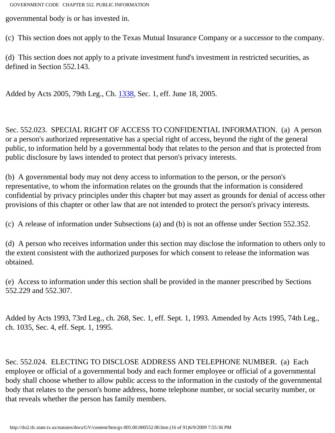governmental body is or has invested in.

(c) This section does not apply to the Texas Mutual Insurance Company or a successor to the company.

(d) This section does not apply to a private investment fund's investment in restricted securities, as defined in Section 552.143.

Added by Acts 2005, 79th Leg., Ch. [1338](http://www.legis.state.tx.us/tlodocs/79R/billtext/html/SB00121F.HTM), Sec. 1, eff. June 18, 2005.

Sec. 552.023. SPECIAL RIGHT OF ACCESS TO CONFIDENTIAL INFORMATION. (a) A person or a person's authorized representative has a special right of access, beyond the right of the general public, to information held by a governmental body that relates to the person and that is protected from public disclosure by laws intended to protect that person's privacy interests.

(b) A governmental body may not deny access to information to the person, or the person's representative, to whom the information relates on the grounds that the information is considered confidential by privacy principles under this chapter but may assert as grounds for denial of access other provisions of this chapter or other law that are not intended to protect the person's privacy interests.

(c) A release of information under Subsections (a) and (b) is not an offense under Section 552.352.

(d) A person who receives information under this section may disclose the information to others only to the extent consistent with the authorized purposes for which consent to release the information was obtained.

(e) Access to information under this section shall be provided in the manner prescribed by Sections 552.229 and 552.307.

Added by Acts 1993, 73rd Leg., ch. 268, Sec. 1, eff. Sept. 1, 1993. Amended by Acts 1995, 74th Leg., ch. 1035, Sec. 4, eff. Sept. 1, 1995.

Sec. 552.024. ELECTING TO DISCLOSE ADDRESS AND TELEPHONE NUMBER. (a) Each employee or official of a governmental body and each former employee or official of a governmental body shall choose whether to allow public access to the information in the custody of the governmental body that relates to the person's home address, home telephone number, or social security number, or that reveals whether the person has family members.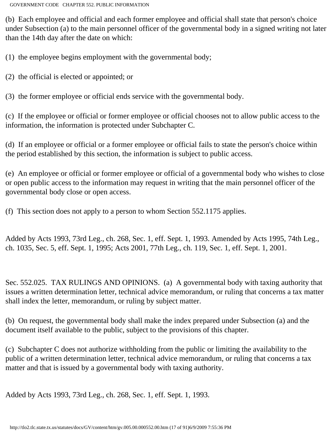(b) Each employee and official and each former employee and official shall state that person's choice under Subsection (a) to the main personnel officer of the governmental body in a signed writing not later than the 14th day after the date on which:

(1) the employee begins employment with the governmental body;

(2) the official is elected or appointed; or

(3) the former employee or official ends service with the governmental body.

(c) If the employee or official or former employee or official chooses not to allow public access to the information, the information is protected under Subchapter C.

(d) If an employee or official or a former employee or official fails to state the person's choice within the period established by this section, the information is subject to public access.

(e) An employee or official or former employee or official of a governmental body who wishes to close or open public access to the information may request in writing that the main personnel officer of the governmental body close or open access.

(f) This section does not apply to a person to whom Section 552.1175 applies.

Added by Acts 1993, 73rd Leg., ch. 268, Sec. 1, eff. Sept. 1, 1993. Amended by Acts 1995, 74th Leg., ch. 1035, Sec. 5, eff. Sept. 1, 1995; Acts 2001, 77th Leg., ch. 119, Sec. 1, eff. Sept. 1, 2001.

Sec. 552.025. TAX RULINGS AND OPINIONS. (a) A governmental body with taxing authority that issues a written determination letter, technical advice memorandum, or ruling that concerns a tax matter shall index the letter, memorandum, or ruling by subject matter.

(b) On request, the governmental body shall make the index prepared under Subsection (a) and the document itself available to the public, subject to the provisions of this chapter.

(c) Subchapter C does not authorize withholding from the public or limiting the availability to the public of a written determination letter, technical advice memorandum, or ruling that concerns a tax matter and that is issued by a governmental body with taxing authority.

Added by Acts 1993, 73rd Leg., ch. 268, Sec. 1, eff. Sept. 1, 1993.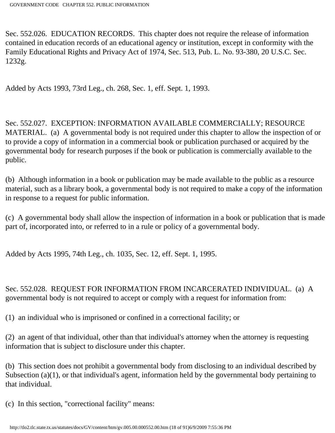Sec. 552.026. EDUCATION RECORDS. This chapter does not require the release of information contained in education records of an educational agency or institution, except in conformity with the Family Educational Rights and Privacy Act of 1974, Sec. 513, Pub. L. No. 93-380, 20 U.S.C. Sec. 1232g.

Added by Acts 1993, 73rd Leg., ch. 268, Sec. 1, eff. Sept. 1, 1993.

Sec. 552.027. EXCEPTION: INFORMATION AVAILABLE COMMERCIALLY; RESOURCE MATERIAL. (a) A governmental body is not required under this chapter to allow the inspection of or to provide a copy of information in a commercial book or publication purchased or acquired by the governmental body for research purposes if the book or publication is commercially available to the public.

(b) Although information in a book or publication may be made available to the public as a resource material, such as a library book, a governmental body is not required to make a copy of the information in response to a request for public information.

(c) A governmental body shall allow the inspection of information in a book or publication that is made part of, incorporated into, or referred to in a rule or policy of a governmental body.

Added by Acts 1995, 74th Leg., ch. 1035, Sec. 12, eff. Sept. 1, 1995.

Sec. 552.028. REQUEST FOR INFORMATION FROM INCARCERATED INDIVIDUAL. (a) A governmental body is not required to accept or comply with a request for information from:

(1) an individual who is imprisoned or confined in a correctional facility; or

(2) an agent of that individual, other than that individual's attorney when the attorney is requesting information that is subject to disclosure under this chapter.

(b) This section does not prohibit a governmental body from disclosing to an individual described by Subsection (a)(1), or that individual's agent, information held by the governmental body pertaining to that individual.

(c) In this section, "correctional facility" means: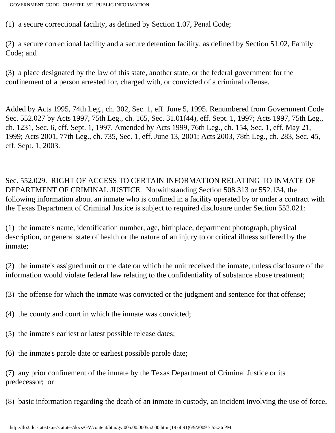(1) a secure correctional facility, as defined by Section 1.07, Penal Code;

(2) a secure correctional facility and a secure detention facility, as defined by Section 51.02, Family Code; and

(3) a place designated by the law of this state, another state, or the federal government for the confinement of a person arrested for, charged with, or convicted of a criminal offense.

Added by Acts 1995, 74th Leg., ch. 302, Sec. 1, eff. June 5, 1995. Renumbered from Government Code Sec. 552.027 by Acts 1997, 75th Leg., ch. 165, Sec. 31.01(44), eff. Sept. 1, 1997; Acts 1997, 75th Leg., ch. 1231, Sec. 6, eff. Sept. 1, 1997. Amended by Acts 1999, 76th Leg., ch. 154, Sec. 1, eff. May 21, 1999; Acts 2001, 77th Leg., ch. 735, Sec. 1, eff. June 13, 2001; Acts 2003, 78th Leg., ch. 283, Sec. 45, eff. Sept. 1, 2003.

Sec. 552.029. RIGHT OF ACCESS TO CERTAIN INFORMATION RELATING TO INMATE OF DEPARTMENT OF CRIMINAL JUSTICE. Notwithstanding Section 508.313 or 552.134, the following information about an inmate who is confined in a facility operated by or under a contract with the Texas Department of Criminal Justice is subject to required disclosure under Section 552.021:

(1) the inmate's name, identification number, age, birthplace, department photograph, physical description, or general state of health or the nature of an injury to or critical illness suffered by the inmate;

(2) the inmate's assigned unit or the date on which the unit received the inmate, unless disclosure of the information would violate federal law relating to the confidentiality of substance abuse treatment;

(3) the offense for which the inmate was convicted or the judgment and sentence for that offense;

(4) the county and court in which the inmate was convicted;

- (5) the inmate's earliest or latest possible release dates;
- (6) the inmate's parole date or earliest possible parole date;

(7) any prior confinement of the inmate by the Texas Department of Criminal Justice or its predecessor; or

(8) basic information regarding the death of an inmate in custody, an incident involving the use of force,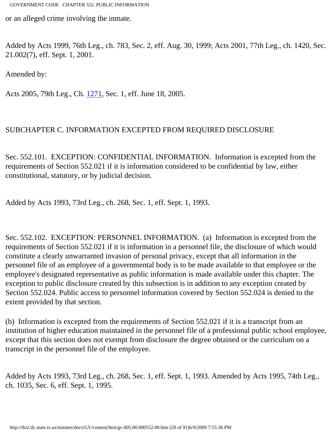or an alleged crime involving the inmate.

Added by Acts 1999, 76th Leg., ch. 783, Sec. 2, eff. Aug. 30, 1999; Acts 2001, 77th Leg., ch. 1420, Sec. 21.002(7), eff. Sept. 1, 2001.

Amended by:

Acts 2005, 79th Leg., Ch. [1271](http://www.legis.state.tx.us/tlodocs/79R/billtext/html/HB02197F.HTM), Sec. 1, eff. June 18, 2005.

#### SUBCHAPTER C. INFORMATION EXCEPTED FROM REQUIRED DISCLOSURE

Sec. 552.101. EXCEPTION: CONFIDENTIAL INFORMATION. Information is excepted from the requirements of Section 552.021 if it is information considered to be confidential by law, either constitutional, statutory, or by judicial decision.

Added by Acts 1993, 73rd Leg., ch. 268, Sec. 1, eff. Sept. 1, 1993.

Sec. 552.102. EXCEPTION: PERSONNEL INFORMATION. (a) Information is excepted from the requirements of Section 552.021 if it is information in a personnel file, the disclosure of which would constitute a clearly unwarranted invasion of personal privacy, except that all information in the personnel file of an employee of a governmental body is to be made available to that employee or the employee's designated representative as public information is made available under this chapter. The exception to public disclosure created by this subsection is in addition to any exception created by Section 552.024. Public access to personnel information covered by Section 552.024 is denied to the extent provided by that section.

(b) Information is excepted from the requirements of Section 552.021 if it is a transcript from an institution of higher education maintained in the personnel file of a professional public school employee, except that this section does not exempt from disclosure the degree obtained or the curriculum on a transcript in the personnel file of the employee.

Added by Acts 1993, 73rd Leg., ch. 268, Sec. 1, eff. Sept. 1, 1993. Amended by Acts 1995, 74th Leg., ch. 1035, Sec. 6, eff. Sept. 1, 1995.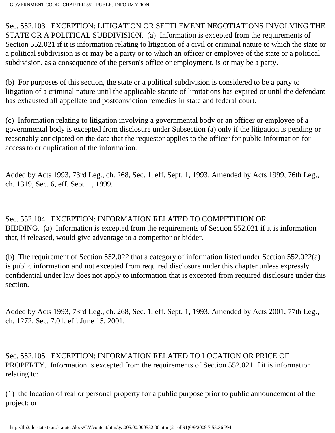Sec. 552.103. EXCEPTION: LITIGATION OR SETTLEMENT NEGOTIATIONS INVOLVING THE STATE OR A POLITICAL SUBDIVISION. (a) Information is excepted from the requirements of Section 552.021 if it is information relating to litigation of a civil or criminal nature to which the state or a political subdivision is or may be a party or to which an officer or employee of the state or a political subdivision, as a consequence of the person's office or employment, is or may be a party.

(b) For purposes of this section, the state or a political subdivision is considered to be a party to litigation of a criminal nature until the applicable statute of limitations has expired or until the defendant has exhausted all appellate and postconviction remedies in state and federal court.

(c) Information relating to litigation involving a governmental body or an officer or employee of a governmental body is excepted from disclosure under Subsection (a) only if the litigation is pending or reasonably anticipated on the date that the requestor applies to the officer for public information for access to or duplication of the information.

Added by Acts 1993, 73rd Leg., ch. 268, Sec. 1, eff. Sept. 1, 1993. Amended by Acts 1999, 76th Leg., ch. 1319, Sec. 6, eff. Sept. 1, 1999.

Sec. 552.104. EXCEPTION: INFORMATION RELATED TO COMPETITION OR BIDDING. (a) Information is excepted from the requirements of Section 552.021 if it is information that, if released, would give advantage to a competitor or bidder.

(b) The requirement of Section 552.022 that a category of information listed under Section 552.022(a) is public information and not excepted from required disclosure under this chapter unless expressly confidential under law does not apply to information that is excepted from required disclosure under this section.

Added by Acts 1993, 73rd Leg., ch. 268, Sec. 1, eff. Sept. 1, 1993. Amended by Acts 2001, 77th Leg., ch. 1272, Sec. 7.01, eff. June 15, 2001.

Sec. 552.105. EXCEPTION: INFORMATION RELATED TO LOCATION OR PRICE OF PROPERTY. Information is excepted from the requirements of Section 552.021 if it is information relating to:

(1) the location of real or personal property for a public purpose prior to public announcement of the project; or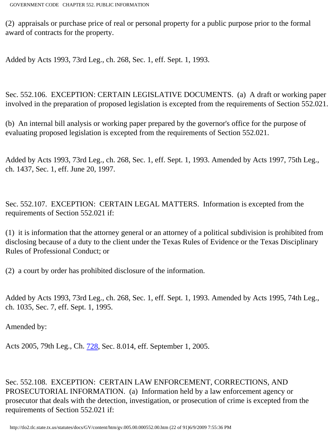(2) appraisals or purchase price of real or personal property for a public purpose prior to the formal award of contracts for the property.

Added by Acts 1993, 73rd Leg., ch. 268, Sec. 1, eff. Sept. 1, 1993.

Sec. 552.106. EXCEPTION: CERTAIN LEGISLATIVE DOCUMENTS. (a) A draft or working paper involved in the preparation of proposed legislation is excepted from the requirements of Section 552.021.

(b) An internal bill analysis or working paper prepared by the governor's office for the purpose of evaluating proposed legislation is excepted from the requirements of Section 552.021.

Added by Acts 1993, 73rd Leg., ch. 268, Sec. 1, eff. Sept. 1, 1993. Amended by Acts 1997, 75th Leg., ch. 1437, Sec. 1, eff. June 20, 1997.

Sec. 552.107. EXCEPTION: CERTAIN LEGAL MATTERS. Information is excepted from the requirements of Section 552.021 if:

(1) it is information that the attorney general or an attorney of a political subdivision is prohibited from disclosing because of a duty to the client under the Texas Rules of Evidence or the Texas Disciplinary Rules of Professional Conduct; or

(2) a court by order has prohibited disclosure of the information.

Added by Acts 1993, 73rd Leg., ch. 268, Sec. 1, eff. Sept. 1, 1993. Amended by Acts 1995, 74th Leg., ch. 1035, Sec. 7, eff. Sept. 1, 1995.

Amended by:

Acts 2005, 79th Leg., Ch. [728](http://www.legis.state.tx.us/tlodocs/79R/billtext/html/HB02018F.HTM), Sec. 8.014, eff. September 1, 2005.

Sec. 552.108. EXCEPTION: CERTAIN LAW ENFORCEMENT, CORRECTIONS, AND PROSECUTORIAL INFORMATION. (a) Information held by a law enforcement agency or prosecutor that deals with the detection, investigation, or prosecution of crime is excepted from the requirements of Section 552.021 if: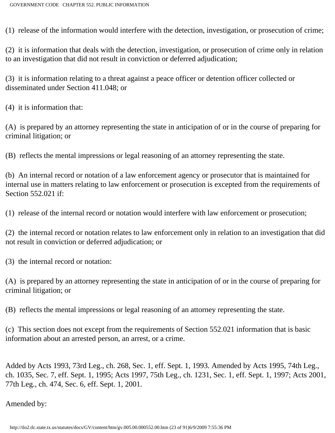(1) release of the information would interfere with the detection, investigation, or prosecution of crime;

(2) it is information that deals with the detection, investigation, or prosecution of crime only in relation to an investigation that did not result in conviction or deferred adjudication;

(3) it is information relating to a threat against a peace officer or detention officer collected or disseminated under Section 411.048; or

(4) it is information that:

(A) is prepared by an attorney representing the state in anticipation of or in the course of preparing for criminal litigation; or

(B) reflects the mental impressions or legal reasoning of an attorney representing the state.

(b) An internal record or notation of a law enforcement agency or prosecutor that is maintained for internal use in matters relating to law enforcement or prosecution is excepted from the requirements of Section 552.021 if:

(1) release of the internal record or notation would interfere with law enforcement or prosecution;

(2) the internal record or notation relates to law enforcement only in relation to an investigation that did not result in conviction or deferred adjudication; or

(3) the internal record or notation:

(A) is prepared by an attorney representing the state in anticipation of or in the course of preparing for criminal litigation; or

(B) reflects the mental impressions or legal reasoning of an attorney representing the state.

(c) This section does not except from the requirements of Section 552.021 information that is basic information about an arrested person, an arrest, or a crime.

Added by Acts 1993, 73rd Leg., ch. 268, Sec. 1, eff. Sept. 1, 1993. Amended by Acts 1995, 74th Leg., ch. 1035, Sec. 7, eff. Sept. 1, 1995; Acts 1997, 75th Leg., ch. 1231, Sec. 1, eff. Sept. 1, 1997; Acts 2001, 77th Leg., ch. 474, Sec. 6, eff. Sept. 1, 2001.

## Amended by: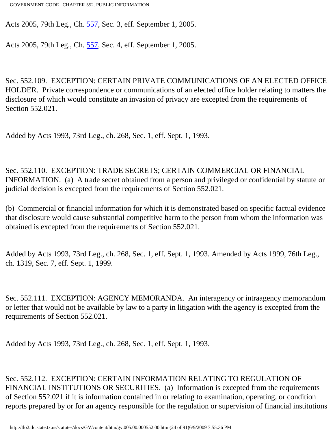Acts 2005, 79th Leg., Ch. [557](http://www.legis.state.tx.us/tlodocs/79R/billtext/html/HB01262F.HTM), Sec. 3, eff. September 1, 2005.

Acts 2005, 79th Leg., Ch. [557](http://www.legis.state.tx.us/tlodocs/79R/billtext/html/HB01262F.HTM), Sec. 4, eff. September 1, 2005.

Sec. 552.109. EXCEPTION: CERTAIN PRIVATE COMMUNICATIONS OF AN ELECTED OFFICE HOLDER. Private correspondence or communications of an elected office holder relating to matters the disclosure of which would constitute an invasion of privacy are excepted from the requirements of Section 552.021.

Added by Acts 1993, 73rd Leg., ch. 268, Sec. 1, eff. Sept. 1, 1993.

Sec. 552.110. EXCEPTION: TRADE SECRETS; CERTAIN COMMERCIAL OR FINANCIAL INFORMATION. (a) A trade secret obtained from a person and privileged or confidential by statute or judicial decision is excepted from the requirements of Section 552.021.

(b) Commercial or financial information for which it is demonstrated based on specific factual evidence that disclosure would cause substantial competitive harm to the person from whom the information was obtained is excepted from the requirements of Section 552.021.

Added by Acts 1993, 73rd Leg., ch. 268, Sec. 1, eff. Sept. 1, 1993. Amended by Acts 1999, 76th Leg., ch. 1319, Sec. 7, eff. Sept. 1, 1999.

Sec. 552.111. EXCEPTION: AGENCY MEMORANDA. An interagency or intraagency memorandum or letter that would not be available by law to a party in litigation with the agency is excepted from the requirements of Section 552.021.

Added by Acts 1993, 73rd Leg., ch. 268, Sec. 1, eff. Sept. 1, 1993.

Sec. 552.112. EXCEPTION: CERTAIN INFORMATION RELATING TO REGULATION OF FINANCIAL INSTITUTIONS OR SECURITIES. (a) Information is excepted from the requirements of Section 552.021 if it is information contained in or relating to examination, operating, or condition reports prepared by or for an agency responsible for the regulation or supervision of financial institutions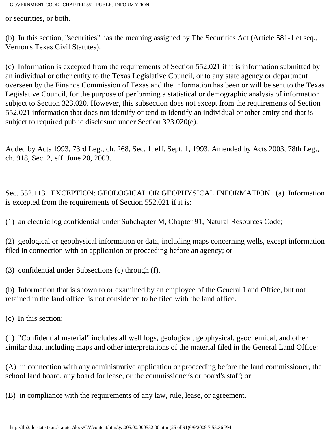or securities, or both.

(b) In this section, "securities" has the meaning assigned by The Securities Act (Article 581-1 et seq., Vernon's Texas Civil Statutes).

(c) Information is excepted from the requirements of Section 552.021 if it is information submitted by an individual or other entity to the Texas Legislative Council, or to any state agency or department overseen by the Finance Commission of Texas and the information has been or will be sent to the Texas Legislative Council, for the purpose of performing a statistical or demographic analysis of information subject to Section 323.020. However, this subsection does not except from the requirements of Section 552.021 information that does not identify or tend to identify an individual or other entity and that is subject to required public disclosure under Section 323.020(e).

Added by Acts 1993, 73rd Leg., ch. 268, Sec. 1, eff. Sept. 1, 1993. Amended by Acts 2003, 78th Leg., ch. 918, Sec. 2, eff. June 20, 2003.

Sec. 552.113. EXCEPTION: GEOLOGICAL OR GEOPHYSICAL INFORMATION. (a) Information is excepted from the requirements of Section 552.021 if it is:

(1) an electric log confidential under Subchapter M, Chapter 91, Natural Resources Code;

(2) geological or geophysical information or data, including maps concerning wells, except information filed in connection with an application or proceeding before an agency; or

(3) confidential under Subsections (c) through (f).

(b) Information that is shown to or examined by an employee of the General Land Office, but not retained in the land office, is not considered to be filed with the land office.

(c) In this section:

(1) "Confidential material" includes all well logs, geological, geophysical, geochemical, and other similar data, including maps and other interpretations of the material filed in the General Land Office:

(A) in connection with any administrative application or proceeding before the land commissioner, the school land board, any board for lease, or the commissioner's or board's staff; or

(B) in compliance with the requirements of any law, rule, lease, or agreement.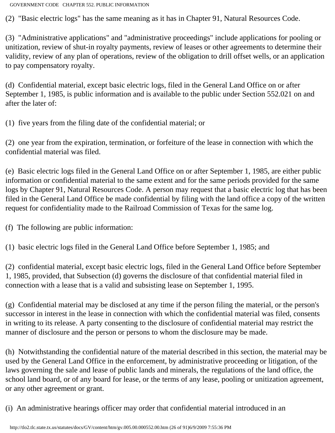(2) "Basic electric logs" has the same meaning as it has in Chapter 91, Natural Resources Code.

(3) "Administrative applications" and "administrative proceedings" include applications for pooling or unitization, review of shut-in royalty payments, review of leases or other agreements to determine their validity, review of any plan of operations, review of the obligation to drill offset wells, or an application to pay compensatory royalty.

(d) Confidential material, except basic electric logs, filed in the General Land Office on or after September 1, 1985, is public information and is available to the public under Section 552.021 on and after the later of:

(1) five years from the filing date of the confidential material; or

(2) one year from the expiration, termination, or forfeiture of the lease in connection with which the confidential material was filed.

(e) Basic electric logs filed in the General Land Office on or after September 1, 1985, are either public information or confidential material to the same extent and for the same periods provided for the same logs by Chapter 91, Natural Resources Code. A person may request that a basic electric log that has been filed in the General Land Office be made confidential by filing with the land office a copy of the written request for confidentiality made to the Railroad Commission of Texas for the same log.

(f) The following are public information:

(1) basic electric logs filed in the General Land Office before September 1, 1985; and

(2) confidential material, except basic electric logs, filed in the General Land Office before September 1, 1985, provided, that Subsection (d) governs the disclosure of that confidential material filed in connection with a lease that is a valid and subsisting lease on September 1, 1995.

(g) Confidential material may be disclosed at any time if the person filing the material, or the person's successor in interest in the lease in connection with which the confidential material was filed, consents in writing to its release. A party consenting to the disclosure of confidential material may restrict the manner of disclosure and the person or persons to whom the disclosure may be made.

(h) Notwithstanding the confidential nature of the material described in this section, the material may be used by the General Land Office in the enforcement, by administrative proceeding or litigation, of the laws governing the sale and lease of public lands and minerals, the regulations of the land office, the school land board, or of any board for lease, or the terms of any lease, pooling or unitization agreement, or any other agreement or grant.

(i) An administrative hearings officer may order that confidential material introduced in an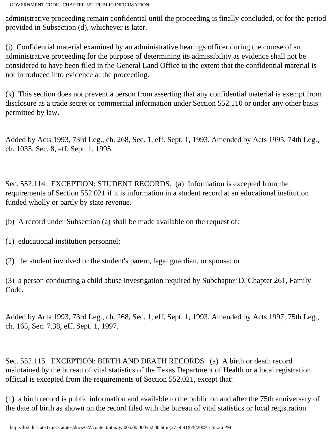administrative proceeding remain confidential until the proceeding is finally concluded, or for the period provided in Subsection (d), whichever is later.

(j) Confidential material examined by an administrative hearings officer during the course of an administrative proceeding for the purpose of determining its admissibility as evidence shall not be considered to have been filed in the General Land Office to the extent that the confidential material is not introduced into evidence at the proceeding.

(k) This section does not prevent a person from asserting that any confidential material is exempt from disclosure as a trade secret or commercial information under Section 552.110 or under any other basis permitted by law.

Added by Acts 1993, 73rd Leg., ch. 268, Sec. 1, eff. Sept. 1, 1993. Amended by Acts 1995, 74th Leg., ch. 1035, Sec. 8, eff. Sept. 1, 1995.

Sec. 552.114. EXCEPTION: STUDENT RECORDS. (a) Information is excepted from the requirements of Section 552.021 if it is information in a student record at an educational institution funded wholly or partly by state revenue.

(b) A record under Subsection (a) shall be made available on the request of:

- (1) educational institution personnel;
- (2) the student involved or the student's parent, legal guardian, or spouse; or

(3) a person conducting a child abuse investigation required by Subchapter D, Chapter 261, Family Code.

Added by Acts 1993, 73rd Leg., ch. 268, Sec. 1, eff. Sept. 1, 1993. Amended by Acts 1997, 75th Leg., ch. 165, Sec. 7.38, eff. Sept. 1, 1997.

Sec. 552.115. EXCEPTION: BIRTH AND DEATH RECORDS. (a) A birth or death record maintained by the bureau of vital statistics of the Texas Department of Health or a local registration official is excepted from the requirements of Section 552.021, except that:

(1) a birth record is public information and available to the public on and after the 75th anniversary of the date of birth as shown on the record filed with the bureau of vital statistics or local registration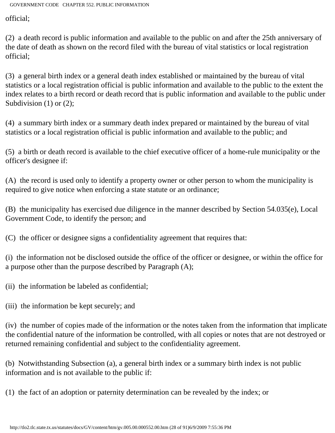official;

(2) a death record is public information and available to the public on and after the 25th anniversary of the date of death as shown on the record filed with the bureau of vital statistics or local registration official;

(3) a general birth index or a general death index established or maintained by the bureau of vital statistics or a local registration official is public information and available to the public to the extent the index relates to a birth record or death record that is public information and available to the public under Subdivision (1) or (2);

(4) a summary birth index or a summary death index prepared or maintained by the bureau of vital statistics or a local registration official is public information and available to the public; and

(5) a birth or death record is available to the chief executive officer of a home-rule municipality or the officer's designee if:

(A) the record is used only to identify a property owner or other person to whom the municipality is required to give notice when enforcing a state statute or an ordinance;

(B) the municipality has exercised due diligence in the manner described by Section 54.035(e), Local Government Code, to identify the person; and

(C) the officer or designee signs a confidentiality agreement that requires that:

(i) the information not be disclosed outside the office of the officer or designee, or within the office for a purpose other than the purpose described by Paragraph (A);

(ii) the information be labeled as confidential;

(iii) the information be kept securely; and

(iv) the number of copies made of the information or the notes taken from the information that implicate the confidential nature of the information be controlled, with all copies or notes that are not destroyed or returned remaining confidential and subject to the confidentiality agreement.

(b) Notwithstanding Subsection (a), a general birth index or a summary birth index is not public information and is not available to the public if:

(1) the fact of an adoption or paternity determination can be revealed by the index; or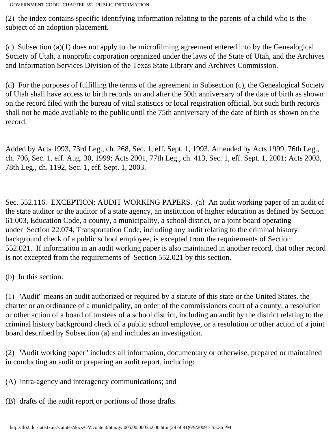(2) the index contains specific identifying information relating to the parents of a child who is the subject of an adoption placement.

(c) Subsection (a)(1) does not apply to the microfilming agreement entered into by the Genealogical Society of Utah, a nonprofit corporation organized under the laws of the State of Utah, and the Archives and Information Services Division of the Texas State Library and Archives Commission.

(d) For the purposes of fulfilling the terms of the agreement in Subsection (c), the Genealogical Society of Utah shall have access to birth records on and after the 50th anniversary of the date of birth as shown on the record filed with the bureau of vital statistics or local registration official, but such birth records shall not be made available to the public until the 75th anniversary of the date of birth as shown on the record.

Added by Acts 1993, 73rd Leg., ch. 268, Sec. 1, eff. Sept. 1, 1993. Amended by Acts 1999, 76th Leg., ch. 706, Sec. 1, eff. Aug. 30, 1999; Acts 2001, 77th Leg., ch. 413, Sec. 1, eff. Sept. 1, 2001; Acts 2003, 78th Leg., ch. 1192, Sec. 1, eff. Sept. 1, 2003.

Sec. 552.116. EXCEPTION: AUDIT WORKING PAPERS. (a) An audit working paper of an audit of the state auditor or the auditor of a state agency, an institution of higher education as defined by Section 61.003, Education Code, a county, a municipality, a school district, or a joint board operating under Section 22.074, Transportation Code, including any audit relating to the criminal history background check of a public school employee, is excepted from the requirements of Section 552.021. If information in an audit working paper is also maintained in another record, that other record is not excepted from the requirements of Section 552.021 by this section.

(b) In this section:

(1) "Audit" means an audit authorized or required by a statute of this state or the United States, the charter or an ordinance of a municipality, an order of the commissioners court of a county, a resolution or other action of a board of trustees of a school district, including an audit by the district relating to the criminal history background check of a public school employee, or a resolution or other action of a joint board described by Subsection (a) and includes an investigation.

(2) "Audit working paper" includes all information, documentary or otherwise, prepared or maintained in conducting an audit or preparing an audit report, including:

(A) intra-agency and interagency communications; and

(B) drafts of the audit report or portions of those drafts.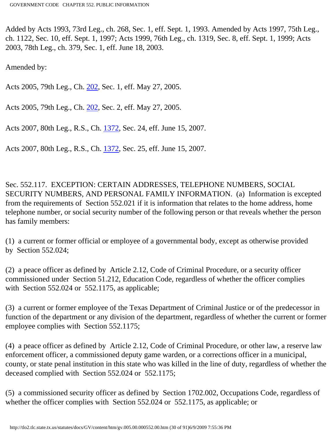Added by Acts 1993, 73rd Leg., ch. 268, Sec. 1, eff. Sept. 1, 1993. Amended by Acts 1997, 75th Leg., ch. 1122, Sec. 10, eff. Sept. 1, 1997; Acts 1999, 76th Leg., ch. 1319, Sec. 8, eff. Sept. 1, 1999; Acts 2003, 78th Leg., ch. 379, Sec. 1, eff. June 18, 2003.

Amended by:

Acts 2005, 79th Leg., Ch. [202](http://www.legis.state.tx.us/tlodocs/79R/billtext/html/HB01285F.HTM), Sec. 1, eff. May 27, 2005.

Acts 2005, 79th Leg., Ch. [202](http://www.legis.state.tx.us/tlodocs/79R/billtext/html/HB01285F.HTM), Sec. 2, eff. May 27, 2005.

Acts 2007, 80th Leg., R.S., Ch. [1372](http://www.legis.state.tx.us/tlodocs/80R/billtext/html/SB00009F.HTM), Sec. 24, eff. June 15, 2007.

Acts 2007, 80th Leg., R.S., Ch. [1372](http://www.legis.state.tx.us/tlodocs/80R/billtext/html/SB00009F.HTM), Sec. 25, eff. June 15, 2007.

Sec. 552.117. EXCEPTION: CERTAIN ADDRESSES, TELEPHONE NUMBERS, SOCIAL SECURITY NUMBERS, AND PERSONAL FAMILY INFORMATION. (a) Information is excepted from the requirements of Section 552.021 if it is information that relates to the home address, home telephone number, or social security number of the following person or that reveals whether the person has family members:

(1) a current or former official or employee of a governmental body, except as otherwise provided by Section 552.024;

(2) a peace officer as defined by Article 2.12, Code of Criminal Procedure, or a security officer commissioned under Section 51.212, Education Code, regardless of whether the officer complies with Section 552.024 or 552.1175, as applicable;

(3) a current or former employee of the Texas Department of Criminal Justice or of the predecessor in function of the department or any division of the department, regardless of whether the current or former employee complies with Section 552.1175;

(4) a peace officer as defined by Article 2.12, Code of Criminal Procedure, or other law, a reserve law enforcement officer, a commissioned deputy game warden, or a corrections officer in a municipal, county, or state penal institution in this state who was killed in the line of duty, regardless of whether the deceased complied with Section 552.024 or 552.1175;

(5) a commissioned security officer as defined by Section 1702.002, Occupations Code, regardless of whether the officer complies with Section 552.024 or 552.1175, as applicable; or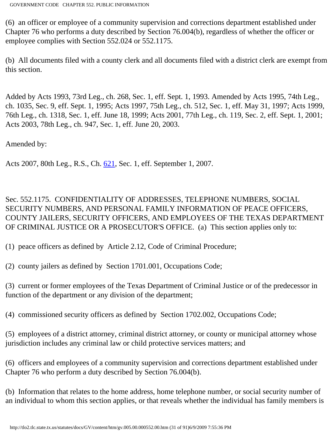(6) an officer or employee of a community supervision and corrections department established under Chapter 76 who performs a duty described by Section 76.004(b), regardless of whether the officer or employee complies with Section 552.024 or 552.1175.

(b) All documents filed with a county clerk and all documents filed with a district clerk are exempt from this section.

Added by Acts 1993, 73rd Leg., ch. 268, Sec. 1, eff. Sept. 1, 1993. Amended by Acts 1995, 74th Leg., ch. 1035, Sec. 9, eff. Sept. 1, 1995; Acts 1997, 75th Leg., ch. 512, Sec. 1, eff. May 31, 1997; Acts 1999, 76th Leg., ch. 1318, Sec. 1, eff. June 18, 1999; Acts 2001, 77th Leg., ch. 119, Sec. 2, eff. Sept. 1, 2001; Acts 2003, 78th Leg., ch. 947, Sec. 1, eff. June 20, 2003.

Amended by:

Acts 2007, 80th Leg., R.S., Ch. [621](http://www.legis.state.tx.us/tlodocs/80R/billtext/html/HB00455F.HTM), Sec. 1, eff. September 1, 2007.

Sec. 552.1175. CONFIDENTIALITY OF ADDRESSES, TELEPHONE NUMBERS, SOCIAL SECURITY NUMBERS, AND PERSONAL FAMILY INFORMATION OF PEACE OFFICERS, COUNTY JAILERS, SECURITY OFFICERS, AND EMPLOYEES OF THE TEXAS DEPARTMENT OF CRIMINAL JUSTICE OR A PROSECUTOR'S OFFICE. (a) This section applies only to:

(1) peace officers as defined by Article 2.12, Code of Criminal Procedure;

(2) county jailers as defined by Section 1701.001, Occupations Code;

(3) current or former employees of the Texas Department of Criminal Justice or of the predecessor in function of the department or any division of the department;

(4) commissioned security officers as defined by Section 1702.002, Occupations Code;

(5) employees of a district attorney, criminal district attorney, or county or municipal attorney whose jurisdiction includes any criminal law or child protective services matters; and

(6) officers and employees of a community supervision and corrections department established under Chapter 76 who perform a duty described by Section 76.004(b).

(b) Information that relates to the home address, home telephone number, or social security number of an individual to whom this section applies, or that reveals whether the individual has family members is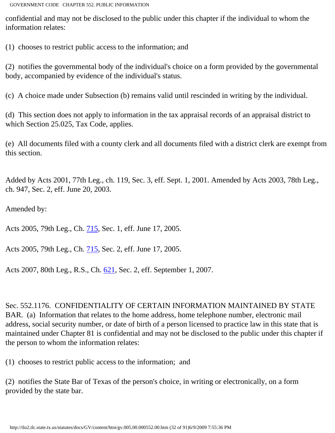confidential and may not be disclosed to the public under this chapter if the individual to whom the information relates:

(1) chooses to restrict public access to the information; and

(2) notifies the governmental body of the individual's choice on a form provided by the governmental body, accompanied by evidence of the individual's status.

(c) A choice made under Subsection (b) remains valid until rescinded in writing by the individual.

(d) This section does not apply to information in the tax appraisal records of an appraisal district to which Section 25.025, Tax Code, applies.

(e) All documents filed with a county clerk and all documents filed with a district clerk are exempt from this section.

Added by Acts 2001, 77th Leg., ch. 119, Sec. 3, eff. Sept. 1, 2001. Amended by Acts 2003, 78th Leg., ch. 947, Sec. 2, eff. June 20, 2003.

Amended by:

Acts 2005, 79th Leg., Ch. [715](http://www.legis.state.tx.us/tlodocs/79R/billtext/html/SB00450F.HTM), Sec. 1, eff. June 17, 2005.

Acts 2005, 79th Leg., Ch. [715](http://www.legis.state.tx.us/tlodocs/79R/billtext/html/SB00450F.HTM), Sec. 2, eff. June 17, 2005.

Acts 2007, 80th Leg., R.S., Ch. [621](http://www.legis.state.tx.us/tlodocs/80R/billtext/html/HB00455F.HTM), Sec. 2, eff. September 1, 2007.

Sec. 552.1176. CONFIDENTIALITY OF CERTAIN INFORMATION MAINTAINED BY STATE BAR. (a) Information that relates to the home address, home telephone number, electronic mail address, social security number, or date of birth of a person licensed to practice law in this state that is maintained under Chapter 81 is confidential and may not be disclosed to the public under this chapter if the person to whom the information relates:

(1) chooses to restrict public access to the information; and

(2) notifies the State Bar of Texas of the person's choice, in writing or electronically, on a form provided by the state bar.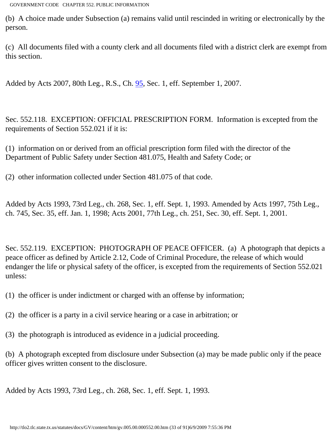(b) A choice made under Subsection (a) remains valid until rescinded in writing or electronically by the person.

(c) All documents filed with a county clerk and all documents filed with a district clerk are exempt from this section.

Added by Acts 2007, 80th Leg., R.S., Ch. **95**, Sec. 1, eff. September 1, 2007.

Sec. 552.118. EXCEPTION: OFFICIAL PRESCRIPTION FORM. Information is excepted from the requirements of Section 552.021 if it is:

(1) information on or derived from an official prescription form filed with the director of the Department of Public Safety under Section 481.075, Health and Safety Code; or

(2) other information collected under Section 481.075 of that code.

Added by Acts 1993, 73rd Leg., ch. 268, Sec. 1, eff. Sept. 1, 1993. Amended by Acts 1997, 75th Leg., ch. 745, Sec. 35, eff. Jan. 1, 1998; Acts 2001, 77th Leg., ch. 251, Sec. 30, eff. Sept. 1, 2001.

Sec. 552.119. EXCEPTION: PHOTOGRAPH OF PEACE OFFICER. (a) A photograph that depicts a peace officer as defined by Article 2.12, Code of Criminal Procedure, the release of which would endanger the life or physical safety of the officer, is excepted from the requirements of Section 552.021 unless:

(1) the officer is under indictment or charged with an offense by information;

(2) the officer is a party in a civil service hearing or a case in arbitration; or

(3) the photograph is introduced as evidence in a judicial proceeding.

(b) A photograph excepted from disclosure under Subsection (a) may be made public only if the peace officer gives written consent to the disclosure.

Added by Acts 1993, 73rd Leg., ch. 268, Sec. 1, eff. Sept. 1, 1993.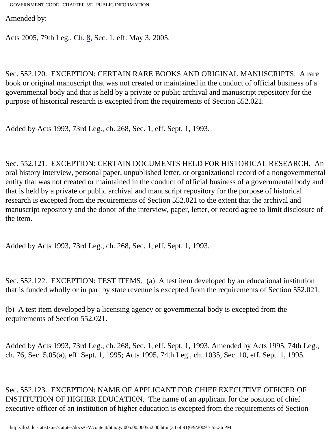Amended by:

Acts 2005, 79th Leg., Ch. [8](http://www.legis.state.tx.us/tlodocs/79R/billtext/html/SB00148F.HTM), Sec. 1, eff. May 3, 2005.

Sec. 552.120. EXCEPTION: CERTAIN RARE BOOKS AND ORIGINAL MANUSCRIPTS. A rare book or original manuscript that was not created or maintained in the conduct of official business of a governmental body and that is held by a private or public archival and manuscript repository for the purpose of historical research is excepted from the requirements of Section 552.021.

Added by Acts 1993, 73rd Leg., ch. 268, Sec. 1, eff. Sept. 1, 1993.

Sec. 552.121. EXCEPTION: CERTAIN DOCUMENTS HELD FOR HISTORICAL RESEARCH. An oral history interview, personal paper, unpublished letter, or organizational record of a nongovernmental entity that was not created or maintained in the conduct of official business of a governmental body and that is held by a private or public archival and manuscript repository for the purpose of historical research is excepted from the requirements of Section 552.021 to the extent that the archival and manuscript repository and the donor of the interview, paper, letter, or record agree to limit disclosure of the item.

Added by Acts 1993, 73rd Leg., ch. 268, Sec. 1, eff. Sept. 1, 1993.

Sec. 552.122. EXCEPTION: TEST ITEMS. (a) A test item developed by an educational institution that is funded wholly or in part by state revenue is excepted from the requirements of Section 552.021.

(b) A test item developed by a licensing agency or governmental body is excepted from the requirements of Section 552.021.

Added by Acts 1993, 73rd Leg., ch. 268, Sec. 1, eff. Sept. 1, 1993. Amended by Acts 1995, 74th Leg., ch. 76, Sec. 5.05(a), eff. Sept. 1, 1995; Acts 1995, 74th Leg., ch. 1035, Sec. 10, eff. Sept. 1, 1995.

Sec. 552.123. EXCEPTION: NAME OF APPLICANT FOR CHIEF EXECUTIVE OFFICER OF INSTITUTION OF HIGHER EDUCATION. The name of an applicant for the position of chief executive officer of an institution of higher education is excepted from the requirements of Section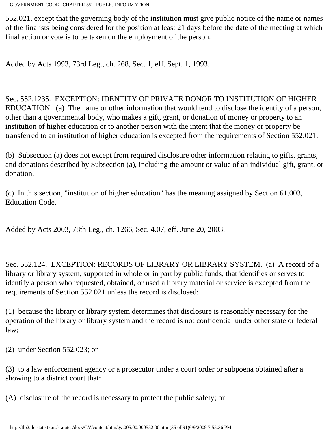552.021, except that the governing body of the institution must give public notice of the name or names of the finalists being considered for the position at least 21 days before the date of the meeting at which final action or vote is to be taken on the employment of the person.

Added by Acts 1993, 73rd Leg., ch. 268, Sec. 1, eff. Sept. 1, 1993.

Sec. 552.1235. EXCEPTION: IDENTITY OF PRIVATE DONOR TO INSTITUTION OF HIGHER EDUCATION. (a) The name or other information that would tend to disclose the identity of a person, other than a governmental body, who makes a gift, grant, or donation of money or property to an institution of higher education or to another person with the intent that the money or property be transferred to an institution of higher education is excepted from the requirements of Section 552.021.

(b) Subsection (a) does not except from required disclosure other information relating to gifts, grants, and donations described by Subsection (a), including the amount or value of an individual gift, grant, or donation.

(c) In this section, "institution of higher education" has the meaning assigned by Section 61.003, Education Code.

Added by Acts 2003, 78th Leg., ch. 1266, Sec. 4.07, eff. June 20, 2003.

Sec. 552.124. EXCEPTION: RECORDS OF LIBRARY OR LIBRARY SYSTEM. (a) A record of a library or library system, supported in whole or in part by public funds, that identifies or serves to identify a person who requested, obtained, or used a library material or service is excepted from the requirements of Section 552.021 unless the record is disclosed:

(1) because the library or library system determines that disclosure is reasonably necessary for the operation of the library or library system and the record is not confidential under other state or federal law;

(2) under Section 552.023; or

(3) to a law enforcement agency or a prosecutor under a court order or subpoena obtained after a showing to a district court that:

(A) disclosure of the record is necessary to protect the public safety; or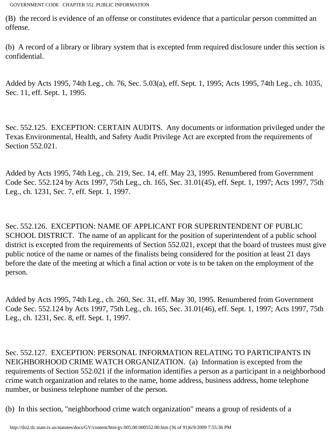(B) the record is evidence of an offense or constitutes evidence that a particular person committed an offense.

(b) A record of a library or library system that is excepted from required disclosure under this section is confidential.

Added by Acts 1995, 74th Leg., ch. 76, Sec. 5.03(a), eff. Sept. 1, 1995; Acts 1995, 74th Leg., ch. 1035, Sec. 11, eff. Sept. 1, 1995.

Sec. 552.125. EXCEPTION: CERTAIN AUDITS. Any documents or information privileged under the Texas Environmental, Health, and Safety Audit Privilege Act are excepted from the requirements of Section 552.021.

Added by Acts 1995, 74th Leg., ch. 219, Sec. 14, eff. May 23, 1995. Renumbered from Government Code Sec. 552.124 by Acts 1997, 75th Leg., ch. 165, Sec. 31.01(45), eff. Sept. 1, 1997; Acts 1997, 75th Leg., ch. 1231, Sec. 7, eff. Sept. 1, 1997.

Sec. 552.126. EXCEPTION: NAME OF APPLICANT FOR SUPERINTENDENT OF PUBLIC SCHOOL DISTRICT. The name of an applicant for the position of superintendent of a public school district is excepted from the requirements of Section 552.021, except that the board of trustees must give public notice of the name or names of the finalists being considered for the position at least 21 days before the date of the meeting at which a final action or vote is to be taken on the employment of the person.

Added by Acts 1995, 74th Leg., ch. 260, Sec. 31, eff. May 30, 1995. Renumbered from Government Code Sec. 552.124 by Acts 1997, 75th Leg., ch. 165, Sec. 31.01(46), eff. Sept. 1, 1997; Acts 1997, 75th Leg., ch. 1231, Sec. 8, eff. Sept. 1, 1997.

Sec. 552.127. EXCEPTION: PERSONAL INFORMATION RELATING TO PARTICIPANTS IN NEIGHBORHOOD CRIME WATCH ORGANIZATION. (a) Information is excepted from the requirements of Section 552.021 if the information identifies a person as a participant in a neighborhood crime watch organization and relates to the name, home address, business address, home telephone number, or business telephone number of the person.

(b) In this section, "neighborhood crime watch organization" means a group of residents of a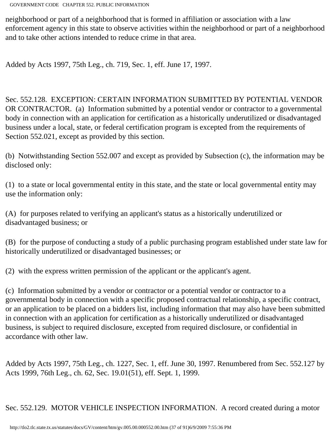neighborhood or part of a neighborhood that is formed in affiliation or association with a law enforcement agency in this state to observe activities within the neighborhood or part of a neighborhood and to take other actions intended to reduce crime in that area.

Added by Acts 1997, 75th Leg., ch. 719, Sec. 1, eff. June 17, 1997.

Sec. 552.128. EXCEPTION: CERTAIN INFORMATION SUBMITTED BY POTENTIAL VENDOR OR CONTRACTOR. (a) Information submitted by a potential vendor or contractor to a governmental body in connection with an application for certification as a historically underutilized or disadvantaged business under a local, state, or federal certification program is excepted from the requirements of Section 552.021, except as provided by this section.

(b) Notwithstanding Section 552.007 and except as provided by Subsection (c), the information may be disclosed only:

(1) to a state or local governmental entity in this state, and the state or local governmental entity may use the information only:

(A) for purposes related to verifying an applicant's status as a historically underutilized or disadvantaged business; or

(B) for the purpose of conducting a study of a public purchasing program established under state law for historically underutilized or disadvantaged businesses; or

(2) with the express written permission of the applicant or the applicant's agent.

(c) Information submitted by a vendor or contractor or a potential vendor or contractor to a governmental body in connection with a specific proposed contractual relationship, a specific contract, or an application to be placed on a bidders list, including information that may also have been submitted in connection with an application for certification as a historically underutilized or disadvantaged business, is subject to required disclosure, excepted from required disclosure, or confidential in accordance with other law.

Added by Acts 1997, 75th Leg., ch. 1227, Sec. 1, eff. June 30, 1997. Renumbered from Sec. 552.127 by Acts 1999, 76th Leg., ch. 62, Sec. 19.01(51), eff. Sept. 1, 1999.

Sec. 552.129. MOTOR VEHICLE INSPECTION INFORMATION. A record created during a motor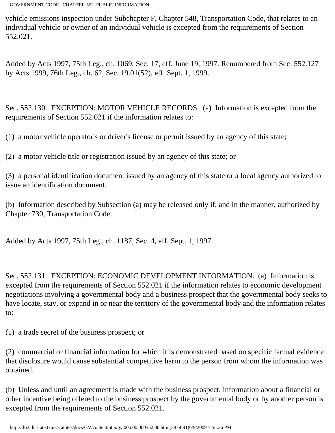vehicle emissions inspection under Subchapter F, Chapter 548, Transportation Code, that relates to an individual vehicle or owner of an individual vehicle is excepted from the requirements of Section 552.021.

Added by Acts 1997, 75th Leg., ch. 1069, Sec. 17, eff. June 19, 1997. Renumbered from Sec. 552.127 by Acts 1999, 76th Leg., ch. 62, Sec. 19.01(52), eff. Sept. 1, 1999.

Sec. 552.130. EXCEPTION: MOTOR VEHICLE RECORDS. (a) Information is excepted from the requirements of Section 552.021 if the information relates to:

(1) a motor vehicle operator's or driver's license or permit issued by an agency of this state;

(2) a motor vehicle title or registration issued by an agency of this state; or

(3) a personal identification document issued by an agency of this state or a local agency authorized to issue an identification document.

(b) Information described by Subsection (a) may be released only if, and in the manner, authorized by Chapter 730, Transportation Code.

Added by Acts 1997, 75th Leg., ch. 1187, Sec. 4, eff. Sept. 1, 1997.

Sec. 552.131. EXCEPTION: ECONOMIC DEVELOPMENT INFORMATION. (a) Information is excepted from the requirements of Section 552.021 if the information relates to economic development negotiations involving a governmental body and a business prospect that the governmental body seeks to have locate, stay, or expand in or near the territory of the governmental body and the information relates to:

(1) a trade secret of the business prospect; or

(2) commercial or financial information for which it is demonstrated based on specific factual evidence that disclosure would cause substantial competitive harm to the person from whom the information was obtained.

(b) Unless and until an agreement is made with the business prospect, information about a financial or other incentive being offered to the business prospect by the governmental body or by another person is excepted from the requirements of Section 552.021.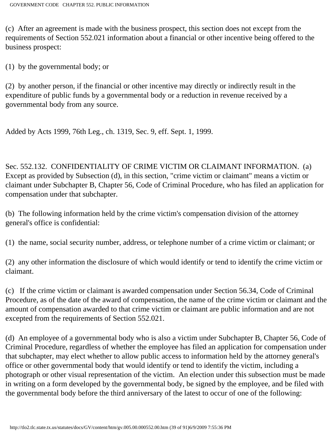(c) After an agreement is made with the business prospect, this section does not except from the requirements of Section 552.021 information about a financial or other incentive being offered to the business prospect:

(1) by the governmental body; or

(2) by another person, if the financial or other incentive may directly or indirectly result in the expenditure of public funds by a governmental body or a reduction in revenue received by a governmental body from any source.

Added by Acts 1999, 76th Leg., ch. 1319, Sec. 9, eff. Sept. 1, 1999.

Sec. 552.132. CONFIDENTIALITY OF CRIME VICTIM OR CLAIMANT INFORMATION. (a) Except as provided by Subsection (d), in this section, "crime victim or claimant" means a victim or claimant under Subchapter B, Chapter 56, Code of Criminal Procedure, who has filed an application for compensation under that subchapter.

(b) The following information held by the crime victim's compensation division of the attorney general's office is confidential:

(1) the name, social security number, address, or telephone number of a crime victim or claimant; or

(2) any other information the disclosure of which would identify or tend to identify the crime victim or claimant.

(c) If the crime victim or claimant is awarded compensation under Section 56.34, Code of Criminal Procedure, as of the date of the award of compensation, the name of the crime victim or claimant and the amount of compensation awarded to that crime victim or claimant are public information and are not excepted from the requirements of Section 552.021.

(d) An employee of a governmental body who is also a victim under Subchapter B, Chapter 56, Code of Criminal Procedure, regardless of whether the employee has filed an application for compensation under that subchapter, may elect whether to allow public access to information held by the attorney general's office or other governmental body that would identify or tend to identify the victim, including a photograph or other visual representation of the victim. An election under this subsection must be made in writing on a form developed by the governmental body, be signed by the employee, and be filed with the governmental body before the third anniversary of the latest to occur of one of the following: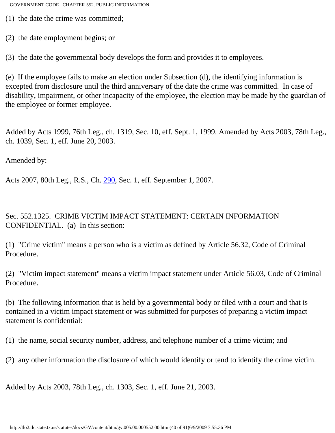(1) the date the crime was committed;

(2) the date employment begins; or

(3) the date the governmental body develops the form and provides it to employees.

(e) If the employee fails to make an election under Subsection (d), the identifying information is excepted from disclosure until the third anniversary of the date the crime was committed. In case of disability, impairment, or other incapacity of the employee, the election may be made by the guardian of the employee or former employee.

Added by Acts 1999, 76th Leg., ch. 1319, Sec. 10, eff. Sept. 1, 1999. Amended by Acts 2003, 78th Leg., ch. 1039, Sec. 1, eff. June 20, 2003.

Amended by:

Acts 2007, 80th Leg., R.S., Ch. [290](http://www.legis.state.tx.us/tlodocs/80R/billtext/html/HB01042F.HTM), Sec. 1, eff. September 1, 2007.

Sec. 552.1325. CRIME VICTIM IMPACT STATEMENT: CERTAIN INFORMATION CONFIDENTIAL. (a) In this section:

(1) "Crime victim" means a person who is a victim as defined by Article 56.32, Code of Criminal Procedure.

(2) "Victim impact statement" means a victim impact statement under Article 56.03, Code of Criminal Procedure.

(b) The following information that is held by a governmental body or filed with a court and that is contained in a victim impact statement or was submitted for purposes of preparing a victim impact statement is confidential:

(1) the name, social security number, address, and telephone number of a crime victim; and

(2) any other information the disclosure of which would identify or tend to identify the crime victim.

Added by Acts 2003, 78th Leg., ch. 1303, Sec. 1, eff. June 21, 2003.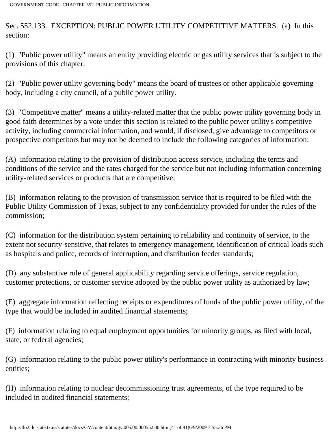Sec. 552.133. EXCEPTION: PUBLIC POWER UTILITY COMPETITIVE MATTERS. (a) In this section:

(1) "Public power utility" means an entity providing electric or gas utility services that is subject to the provisions of this chapter.

(2) "Public power utility governing body" means the board of trustees or other applicable governing body, including a city council, of a public power utility.

(3) "Competitive matter" means a utility-related matter that the public power utility governing body in good faith determines by a vote under this section is related to the public power utility's competitive activity, including commercial information, and would, if disclosed, give advantage to competitors or prospective competitors but may not be deemed to include the following categories of information:

(A) information relating to the provision of distribution access service, including the terms and conditions of the service and the rates charged for the service but not including information concerning utility-related services or products that are competitive;

(B) information relating to the provision of transmission service that is required to be filed with the Public Utility Commission of Texas, subject to any confidentiality provided for under the rules of the commission;

(C) information for the distribution system pertaining to reliability and continuity of service, to the extent not security-sensitive, that relates to emergency management, identification of critical loads such as hospitals and police, records of interruption, and distribution feeder standards;

(D) any substantive rule of general applicability regarding service offerings, service regulation, customer protections, or customer service adopted by the public power utility as authorized by law;

(E) aggregate information reflecting receipts or expenditures of funds of the public power utility, of the type that would be included in audited financial statements;

(F) information relating to equal employment opportunities for minority groups, as filed with local, state, or federal agencies;

(G) information relating to the public power utility's performance in contracting with minority business entities;

(H) information relating to nuclear decommissioning trust agreements, of the type required to be included in audited financial statements;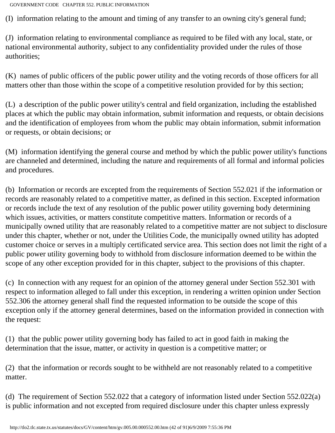(I) information relating to the amount and timing of any transfer to an owning city's general fund;

(J) information relating to environmental compliance as required to be filed with any local, state, or national environmental authority, subject to any confidentiality provided under the rules of those authorities;

(K) names of public officers of the public power utility and the voting records of those officers for all matters other than those within the scope of a competitive resolution provided for by this section;

(L) a description of the public power utility's central and field organization, including the established places at which the public may obtain information, submit information and requests, or obtain decisions and the identification of employees from whom the public may obtain information, submit information or requests, or obtain decisions; or

(M) information identifying the general course and method by which the public power utility's functions are channeled and determined, including the nature and requirements of all formal and informal policies and procedures.

(b) Information or records are excepted from the requirements of Section 552.021 if the information or records are reasonably related to a competitive matter, as defined in this section. Excepted information or records include the text of any resolution of the public power utility governing body determining which issues, activities, or matters constitute competitive matters. Information or records of a municipally owned utility that are reasonably related to a competitive matter are not subject to disclosure under this chapter, whether or not, under the Utilities Code, the municipally owned utility has adopted customer choice or serves in a multiply certificated service area. This section does not limit the right of a public power utility governing body to withhold from disclosure information deemed to be within the scope of any other exception provided for in this chapter, subject to the provisions of this chapter.

(c) In connection with any request for an opinion of the attorney general under Section 552.301 with respect to information alleged to fall under this exception, in rendering a written opinion under Section 552.306 the attorney general shall find the requested information to be outside the scope of this exception only if the attorney general determines, based on the information provided in connection with the request:

(1) that the public power utility governing body has failed to act in good faith in making the determination that the issue, matter, or activity in question is a competitive matter; or

(2) that the information or records sought to be withheld are not reasonably related to a competitive matter.

(d) The requirement of Section 552.022 that a category of information listed under Section 552.022(a) is public information and not excepted from required disclosure under this chapter unless expressly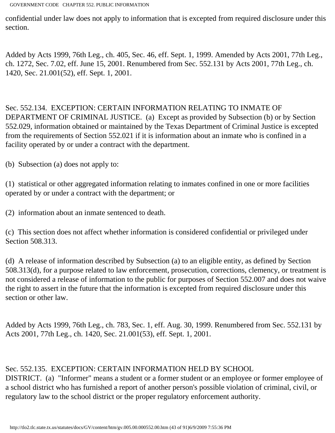confidential under law does not apply to information that is excepted from required disclosure under this section.

Added by Acts 1999, 76th Leg., ch. 405, Sec. 46, eff. Sept. 1, 1999. Amended by Acts 2001, 77th Leg., ch. 1272, Sec. 7.02, eff. June 15, 2001. Renumbered from Sec. 552.131 by Acts 2001, 77th Leg., ch. 1420, Sec. 21.001(52), eff. Sept. 1, 2001.

Sec. 552.134. EXCEPTION: CERTAIN INFORMATION RELATING TO INMATE OF DEPARTMENT OF CRIMINAL JUSTICE. (a) Except as provided by Subsection (b) or by Section 552.029, information obtained or maintained by the Texas Department of Criminal Justice is excepted from the requirements of Section 552.021 if it is information about an inmate who is confined in a facility operated by or under a contract with the department.

(b) Subsection (a) does not apply to:

(1) statistical or other aggregated information relating to inmates confined in one or more facilities operated by or under a contract with the department; or

(2) information about an inmate sentenced to death.

(c) This section does not affect whether information is considered confidential or privileged under Section 508.313.

(d) A release of information described by Subsection (a) to an eligible entity, as defined by Section 508.313(d), for a purpose related to law enforcement, prosecution, corrections, clemency, or treatment is not considered a release of information to the public for purposes of Section 552.007 and does not waive the right to assert in the future that the information is excepted from required disclosure under this section or other law.

Added by Acts 1999, 76th Leg., ch. 783, Sec. 1, eff. Aug. 30, 1999. Renumbered from Sec. 552.131 by Acts 2001, 77th Leg., ch. 1420, Sec. 21.001(53), eff. Sept. 1, 2001.

# Sec. 552.135. EXCEPTION: CERTAIN INFORMATION HELD BY SCHOOL

DISTRICT. (a) "Informer" means a student or a former student or an employee or former employee of a school district who has furnished a report of another person's possible violation of criminal, civil, or regulatory law to the school district or the proper regulatory enforcement authority.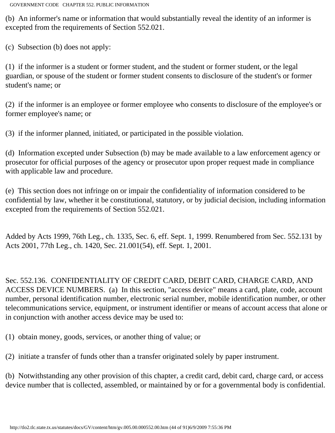(b) An informer's name or information that would substantially reveal the identity of an informer is excepted from the requirements of Section 552.021.

(c) Subsection (b) does not apply:

(1) if the informer is a student or former student, and the student or former student, or the legal guardian, or spouse of the student or former student consents to disclosure of the student's or former student's name; or

(2) if the informer is an employee or former employee who consents to disclosure of the employee's or former employee's name; or

(3) if the informer planned, initiated, or participated in the possible violation.

(d) Information excepted under Subsection (b) may be made available to a law enforcement agency or prosecutor for official purposes of the agency or prosecutor upon proper request made in compliance with applicable law and procedure.

(e) This section does not infringe on or impair the confidentiality of information considered to be confidential by law, whether it be constitutional, statutory, or by judicial decision, including information excepted from the requirements of Section 552.021.

Added by Acts 1999, 76th Leg., ch. 1335, Sec. 6, eff. Sept. 1, 1999. Renumbered from Sec. 552.131 by Acts 2001, 77th Leg., ch. 1420, Sec. 21.001(54), eff. Sept. 1, 2001.

Sec. 552.136. CONFIDENTIALITY OF CREDIT CARD, DEBIT CARD, CHARGE CARD, AND ACCESS DEVICE NUMBERS. (a) In this section, "access device" means a card, plate, code, account number, personal identification number, electronic serial number, mobile identification number, or other telecommunications service, equipment, or instrument identifier or means of account access that alone or in conjunction with another access device may be used to:

(1) obtain money, goods, services, or another thing of value; or

(2) initiate a transfer of funds other than a transfer originated solely by paper instrument.

(b) Notwithstanding any other provision of this chapter, a credit card, debit card, charge card, or access device number that is collected, assembled, or maintained by or for a governmental body is confidential.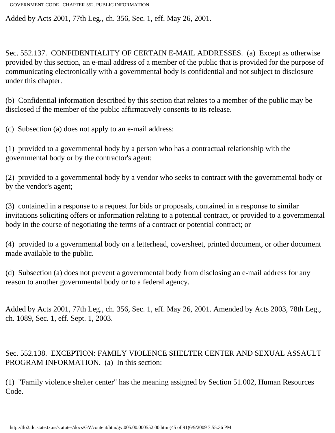Added by Acts 2001, 77th Leg., ch. 356, Sec. 1, eff. May 26, 2001.

Sec. 552.137. CONFIDENTIALITY OF CERTAIN E-MAIL ADDRESSES. (a) Except as otherwise provided by this section, an e-mail address of a member of the public that is provided for the purpose of communicating electronically with a governmental body is confidential and not subject to disclosure under this chapter.

(b) Confidential information described by this section that relates to a member of the public may be disclosed if the member of the public affirmatively consents to its release.

(c) Subsection (a) does not apply to an e-mail address:

(1) provided to a governmental body by a person who has a contractual relationship with the governmental body or by the contractor's agent;

(2) provided to a governmental body by a vendor who seeks to contract with the governmental body or by the vendor's agent;

(3) contained in a response to a request for bids or proposals, contained in a response to similar invitations soliciting offers or information relating to a potential contract, or provided to a governmental body in the course of negotiating the terms of a contract or potential contract; or

(4) provided to a governmental body on a letterhead, coversheet, printed document, or other document made available to the public.

(d) Subsection (a) does not prevent a governmental body from disclosing an e-mail address for any reason to another governmental body or to a federal agency.

Added by Acts 2001, 77th Leg., ch. 356, Sec. 1, eff. May 26, 2001. Amended by Acts 2003, 78th Leg., ch. 1089, Sec. 1, eff. Sept. 1, 2003.

Sec. 552.138. EXCEPTION: FAMILY VIOLENCE SHELTER CENTER AND SEXUAL ASSAULT PROGRAM INFORMATION. (a) In this section:

(1) "Family violence shelter center" has the meaning assigned by Section 51.002, Human Resources Code.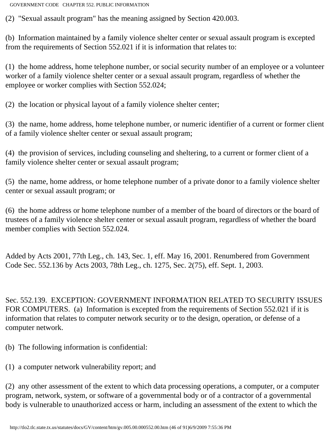(2) "Sexual assault program" has the meaning assigned by Section 420.003.

(b) Information maintained by a family violence shelter center or sexual assault program is excepted from the requirements of Section 552.021 if it is information that relates to:

(1) the home address, home telephone number, or social security number of an employee or a volunteer worker of a family violence shelter center or a sexual assault program, regardless of whether the employee or worker complies with Section 552.024;

(2) the location or physical layout of a family violence shelter center;

(3) the name, home address, home telephone number, or numeric identifier of a current or former client of a family violence shelter center or sexual assault program;

(4) the provision of services, including counseling and sheltering, to a current or former client of a family violence shelter center or sexual assault program;

(5) the name, home address, or home telephone number of a private donor to a family violence shelter center or sexual assault program; or

(6) the home address or home telephone number of a member of the board of directors or the board of trustees of a family violence shelter center or sexual assault program, regardless of whether the board member complies with Section 552.024.

Added by Acts 2001, 77th Leg., ch. 143, Sec. 1, eff. May 16, 2001. Renumbered from Government Code Sec. 552.136 by Acts 2003, 78th Leg., ch. 1275, Sec. 2(75), eff. Sept. 1, 2003.

Sec. 552.139. EXCEPTION: GOVERNMENT INFORMATION RELATED TO SECURITY ISSUES FOR COMPUTERS. (a) Information is excepted from the requirements of Section 552.021 if it is information that relates to computer network security or to the design, operation, or defense of a computer network.

(b) The following information is confidential:

(1) a computer network vulnerability report; and

(2) any other assessment of the extent to which data processing operations, a computer, or a computer program, network, system, or software of a governmental body or of a contractor of a governmental body is vulnerable to unauthorized access or harm, including an assessment of the extent to which the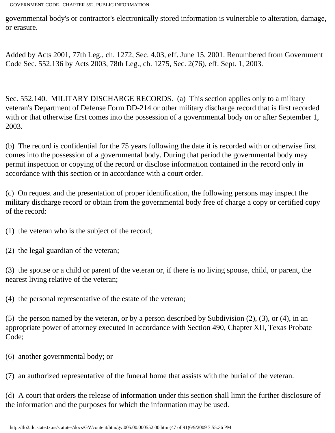governmental body's or contractor's electronically stored information is vulnerable to alteration, damage, or erasure.

Added by Acts 2001, 77th Leg., ch. 1272, Sec. 4.03, eff. June 15, 2001. Renumbered from Government Code Sec. 552.136 by Acts 2003, 78th Leg., ch. 1275, Sec. 2(76), eff. Sept. 1, 2003.

Sec. 552.140. MILITARY DISCHARGE RECORDS. (a) This section applies only to a military veteran's Department of Defense Form DD-214 or other military discharge record that is first recorded with or that otherwise first comes into the possession of a governmental body on or after September 1, 2003.

(b) The record is confidential for the 75 years following the date it is recorded with or otherwise first comes into the possession of a governmental body. During that period the governmental body may permit inspection or copying of the record or disclose information contained in the record only in accordance with this section or in accordance with a court order.

(c) On request and the presentation of proper identification, the following persons may inspect the military discharge record or obtain from the governmental body free of charge a copy or certified copy of the record:

(1) the veteran who is the subject of the record;

(2) the legal guardian of the veteran;

(3) the spouse or a child or parent of the veteran or, if there is no living spouse, child, or parent, the nearest living relative of the veteran;

(4) the personal representative of the estate of the veteran;

(5) the person named by the veteran, or by a person described by Subdivision (2), (3), or (4), in an appropriate power of attorney executed in accordance with Section 490, Chapter XII, Texas Probate Code;

(6) another governmental body; or

(7) an authorized representative of the funeral home that assists with the burial of the veteran.

(d) A court that orders the release of information under this section shall limit the further disclosure of the information and the purposes for which the information may be used.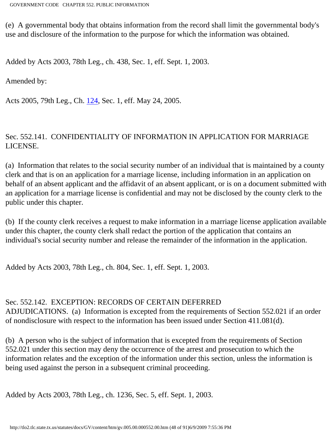(e) A governmental body that obtains information from the record shall limit the governmental body's use and disclosure of the information to the purpose for which the information was obtained.

Added by Acts 2003, 78th Leg., ch. 438, Sec. 1, eff. Sept. 1, 2003.

Amended by:

Acts 2005, 79th Leg., Ch. [124](http://www.legis.state.tx.us/tlodocs/79R/billtext/html/HB00018F.HTM), Sec. 1, eff. May 24, 2005.

### Sec. 552.141. CONFIDENTIALITY OF INFORMATION IN APPLICATION FOR MARRIAGE LICENSE.

(a) Information that relates to the social security number of an individual that is maintained by a county clerk and that is on an application for a marriage license, including information in an application on behalf of an absent applicant and the affidavit of an absent applicant, or is on a document submitted with an application for a marriage license is confidential and may not be disclosed by the county clerk to the public under this chapter.

(b) If the county clerk receives a request to make information in a marriage license application available under this chapter, the county clerk shall redact the portion of the application that contains an individual's social security number and release the remainder of the information in the application.

Added by Acts 2003, 78th Leg., ch. 804, Sec. 1, eff. Sept. 1, 2003.

#### Sec. 552.142. EXCEPTION: RECORDS OF CERTAIN DEFERRED

ADJUDICATIONS. (a) Information is excepted from the requirements of Section 552.021 if an order of nondisclosure with respect to the information has been issued under Section 411.081(d).

(b) A person who is the subject of information that is excepted from the requirements of Section 552.021 under this section may deny the occurrence of the arrest and prosecution to which the information relates and the exception of the information under this section, unless the information is being used against the person in a subsequent criminal proceeding.

Added by Acts 2003, 78th Leg., ch. 1236, Sec. 5, eff. Sept. 1, 2003.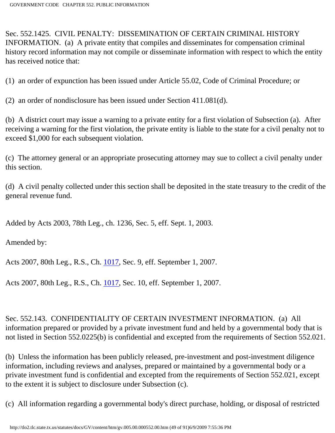Sec. 552.1425. CIVIL PENALTY: DISSEMINATION OF CERTAIN CRIMINAL HISTORY INFORMATION. (a) A private entity that compiles and disseminates for compensation criminal history record information may not compile or disseminate information with respect to which the entity has received notice that:

(1) an order of expunction has been issued under Article 55.02, Code of Criminal Procedure; or

(2) an order of nondisclosure has been issued under Section 411.081(d).

(b) A district court may issue a warning to a private entity for a first violation of Subsection (a). After receiving a warning for the first violation, the private entity is liable to the state for a civil penalty not to exceed \$1,000 for each subsequent violation.

(c) The attorney general or an appropriate prosecuting attorney may sue to collect a civil penalty under this section.

(d) A civil penalty collected under this section shall be deposited in the state treasury to the credit of the general revenue fund.

Added by Acts 2003, 78th Leg., ch. 1236, Sec. 5, eff. Sept. 1, 2003.

Amended by:

Acts 2007, 80th Leg., R.S., Ch. [1017](http://www.legis.state.tx.us/tlodocs/80R/billtext/html/HB01303F.HTM), Sec. 9, eff. September 1, 2007.

Acts 2007, 80th Leg., R.S., Ch. [1017](http://www.legis.state.tx.us/tlodocs/80R/billtext/html/HB01303F.HTM), Sec. 10, eff. September 1, 2007.

Sec. 552.143. CONFIDENTIALITY OF CERTAIN INVESTMENT INFORMATION. (a) All information prepared or provided by a private investment fund and held by a governmental body that is not listed in Section 552.0225(b) is confidential and excepted from the requirements of Section 552.021.

(b) Unless the information has been publicly released, pre-investment and post-investment diligence information, including reviews and analyses, prepared or maintained by a governmental body or a private investment fund is confidential and excepted from the requirements of Section 552.021, except to the extent it is subject to disclosure under Subsection (c).

(c) All information regarding a governmental body's direct purchase, holding, or disposal of restricted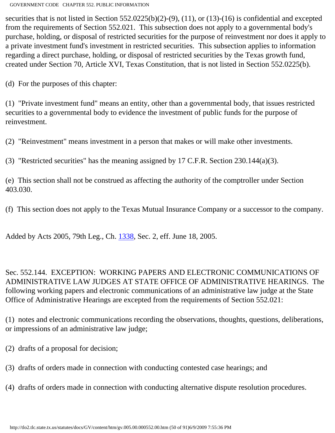securities that is not listed in Section 552.0225(b)(2)-(9), (11), or (13)-(16) is confidential and excepted from the requirements of Section 552.021. This subsection does not apply to a governmental body's purchase, holding, or disposal of restricted securities for the purpose of reinvestment nor does it apply to a private investment fund's investment in restricted securities. This subsection applies to information regarding a direct purchase, holding, or disposal of restricted securities by the Texas growth fund, created under Section 70, Article XVI, Texas Constitution, that is not listed in Section 552.0225(b).

(d) For the purposes of this chapter:

(1) "Private investment fund" means an entity, other than a governmental body, that issues restricted securities to a governmental body to evidence the investment of public funds for the purpose of reinvestment.

(2) "Reinvestment" means investment in a person that makes or will make other investments.

(3) "Restricted securities" has the meaning assigned by 17 C.F.R. Section 230.144(a)(3).

(e) This section shall not be construed as affecting the authority of the comptroller under Section 403.030.

(f) This section does not apply to the Texas Mutual Insurance Company or a successor to the company.

Added by Acts 2005, 79th Leg., Ch. [1338](http://www.legis.state.tx.us/tlodocs/79R/billtext/html/SB00121F.HTM), Sec. 2, eff. June 18, 2005.

Sec. 552.144. EXCEPTION: WORKING PAPERS AND ELECTRONIC COMMUNICATIONS OF ADMINISTRATIVE LAW JUDGES AT STATE OFFICE OF ADMINISTRATIVE HEARINGS. The following working papers and electronic communications of an administrative law judge at the State Office of Administrative Hearings are excepted from the requirements of Section 552.021:

(1) notes and electronic communications recording the observations, thoughts, questions, deliberations, or impressions of an administrative law judge;

- (2) drafts of a proposal for decision;
- (3) drafts of orders made in connection with conducting contested case hearings; and

(4) drafts of orders made in connection with conducting alternative dispute resolution procedures.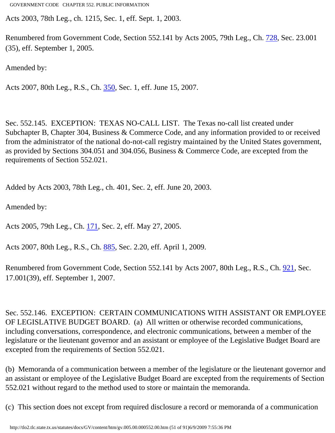Acts 2003, 78th Leg., ch. 1215, Sec. 1, eff. Sept. 1, 2003.

Renumbered from Government Code, Section 552.141 by Acts 2005, 79th Leg., Ch. [728,](http://www.legis.state.tx.us/tlodocs/79R/billtext/html/HB02018F.HTM) Sec. 23.001 (35), eff. September 1, 2005.

Amended by:

Acts 2007, 80th Leg., R.S., Ch. [350](http://www.legis.state.tx.us/tlodocs/80R/billtext/html/SB00178F.HTM), Sec. 1, eff. June 15, 2007.

Sec. 552.145. EXCEPTION: TEXAS NO-CALL LIST. The Texas no-call list created under Subchapter B, Chapter 304, Business & Commerce Code, and any information provided to or received from the administrator of the national do-not-call registry maintained by the United States government, as provided by Sections 304.051 and 304.056, Business & Commerce Code, are excepted from the requirements of Section 552.021.

Added by Acts 2003, 78th Leg., ch. 401, Sec. 2, eff. June 20, 2003.

Amended by:

Acts 2005, 79th Leg., Ch. [171](http://www.legis.state.tx.us/tlodocs/79R/billtext/html/HB00210F.HTM), Sec. 2, eff. May 27, 2005.

Acts 2007, 80th Leg., R.S., Ch. [885](http://www.legis.state.tx.us/tlodocs/80R/billtext/html/HB02278F.HTM), Sec. 2.20, eff. April 1, 2009.

Renumbered from Government Code, Section 552.141 by Acts 2007, 80th Leg., R.S., Ch. [921](http://www.legis.state.tx.us/tlodocs/80R/billtext/html/HB03167F.HTM), Sec. 17.001(39), eff. September 1, 2007.

Sec. 552.146. EXCEPTION: CERTAIN COMMUNICATIONS WITH ASSISTANT OR EMPLOYEE OF LEGISLATIVE BUDGET BOARD. (a) All written or otherwise recorded communications, including conversations, correspondence, and electronic communications, between a member of the legislature or the lieutenant governor and an assistant or employee of the Legislative Budget Board are excepted from the requirements of Section 552.021.

(b) Memoranda of a communication between a member of the legislature or the lieutenant governor and an assistant or employee of the Legislative Budget Board are excepted from the requirements of Section 552.021 without regard to the method used to store or maintain the memoranda.

(c) This section does not except from required disclosure a record or memoranda of a communication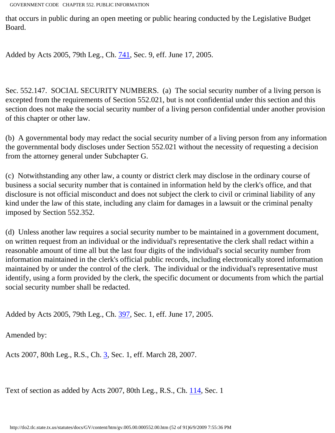that occurs in public during an open meeting or public hearing conducted by the Legislative Budget Board.

Added by Acts 2005, 79th Leg., Ch. [741](http://www.legis.state.tx.us/tlodocs/79R/billtext/html/HB02753F.HTM), Sec. 9, eff. June 17, 2005.

Sec. 552.147. SOCIAL SECURITY NUMBERS. (a) The social security number of a living person is excepted from the requirements of Section 552.021, but is not confidential under this section and this section does not make the social security number of a living person confidential under another provision of this chapter or other law.

(b) A governmental body may redact the social security number of a living person from any information the governmental body discloses under Section 552.021 without the necessity of requesting a decision from the attorney general under Subchapter G.

(c) Notwithstanding any other law, a county or district clerk may disclose in the ordinary course of business a social security number that is contained in information held by the clerk's office, and that disclosure is not official misconduct and does not subject the clerk to civil or criminal liability of any kind under the law of this state, including any claim for damages in a lawsuit or the criminal penalty imposed by Section 552.352.

(d) Unless another law requires a social security number to be maintained in a government document, on written request from an individual or the individual's representative the clerk shall redact within a reasonable amount of time all but the last four digits of the individual's social security number from information maintained in the clerk's official public records, including electronically stored information maintained by or under the control of the clerk. The individual or the individual's representative must identify, using a form provided by the clerk, the specific document or documents from which the partial social security number shall be redacted.

Added by Acts 2005, 79th Leg., Ch. [397](http://www.legis.state.tx.us/tlodocs/79R/billtext/html/SB01485F.HTM), Sec. 1, eff. June 17, 2005.

Amended by:

Acts 2007, 80th Leg., R.S., Ch. [3](http://www.legis.state.tx.us/tlodocs/80R/billtext/html/HB02061F.HTM), Sec. 1, eff. March 28, 2007.

Text of section as added by Acts 2007, 80th Leg., R.S., Ch. [114](http://www.legis.state.tx.us/tlodocs/80R/billtext/html/SB00123F.HTM), Sec. 1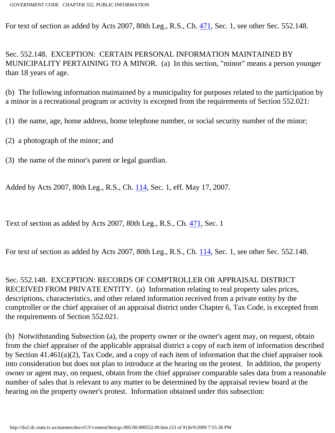For text of section as added by Acts 2007, 80th Leg., R.S., Ch. [471,](http://www.legis.state.tx.us/tlodocs/80R/billtext/html/HB02188F.HTM) Sec. 1, see other Sec. 552.148.

Sec. 552.148. EXCEPTION: CERTAIN PERSONAL INFORMATION MAINTAINED BY MUNICIPALITY PERTAINING TO A MINOR. (a) In this section, "minor" means a person younger than 18 years of age.

(b) The following information maintained by a municipality for purposes related to the participation by a minor in a recreational program or activity is excepted from the requirements of Section 552.021:

(1) the name, age, home address, home telephone number, or social security number of the minor;

(2) a photograph of the minor; and

(3) the name of the minor's parent or legal guardian.

Added by Acts 2007, 80th Leg., R.S., Ch. [114,](http://www.legis.state.tx.us/tlodocs/80R/billtext/html/SB00123F.HTM) Sec. 1, eff. May 17, 2007.

Text of section as added by Acts 2007, 80th Leg., R.S., Ch. [471](http://www.legis.state.tx.us/tlodocs/80R/billtext/html/HB02188F.HTM), Sec. 1

For text of section as added by Acts 2007, 80th Leg., R.S., Ch. [114,](http://www.legis.state.tx.us/tlodocs/80R/billtext/html/SB00123F.HTM) Sec. 1, see other Sec. 552.148.

Sec. 552.148. EXCEPTION: RECORDS OF COMPTROLLER OR APPRAISAL DISTRICT RECEIVED FROM PRIVATE ENTITY. (a) Information relating to real property sales prices, descriptions, characteristics, and other related information received from a private entity by the comptroller or the chief appraiser of an appraisal district under Chapter 6, Tax Code, is excepted from the requirements of Section 552.021.

(b) Notwithstanding Subsection (a), the property owner or the owner's agent may, on request, obtain from the chief appraiser of the applicable appraisal district a copy of each item of information described by Section 41.461(a)(2), Tax Code, and a copy of each item of information that the chief appraiser took into consideration but does not plan to introduce at the hearing on the protest. In addition, the property owner or agent may, on request, obtain from the chief appraiser comparable sales data from a reasonable number of sales that is relevant to any matter to be determined by the appraisal review board at the hearing on the property owner's protest. Information obtained under this subsection: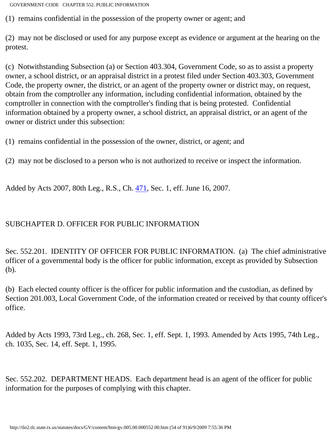(1) remains confidential in the possession of the property owner or agent; and

(2) may not be disclosed or used for any purpose except as evidence or argument at the hearing on the protest.

(c) Notwithstanding Subsection (a) or Section 403.304, Government Code, so as to assist a property owner, a school district, or an appraisal district in a protest filed under Section 403.303, Government Code, the property owner, the district, or an agent of the property owner or district may, on request, obtain from the comptroller any information, including confidential information, obtained by the comptroller in connection with the comptroller's finding that is being protested. Confidential information obtained by a property owner, a school district, an appraisal district, or an agent of the owner or district under this subsection:

(1) remains confidential in the possession of the owner, district, or agent; and

(2) may not be disclosed to a person who is not authorized to receive or inspect the information.

Added by Acts 2007, 80th Leg., R.S., Ch. [471,](http://www.legis.state.tx.us/tlodocs/80R/billtext/html/HB02188F.HTM) Sec. 1, eff. June 16, 2007.

### SUBCHAPTER D. OFFICER FOR PUBLIC INFORMATION

Sec. 552.201. IDENTITY OF OFFICER FOR PUBLIC INFORMATION. (a) The chief administrative officer of a governmental body is the officer for public information, except as provided by Subsection (b).

(b) Each elected county officer is the officer for public information and the custodian, as defined by Section 201.003, Local Government Code, of the information created or received by that county officer's office.

Added by Acts 1993, 73rd Leg., ch. 268, Sec. 1, eff. Sept. 1, 1993. Amended by Acts 1995, 74th Leg., ch. 1035, Sec. 14, eff. Sept. 1, 1995.

Sec. 552.202. DEPARTMENT HEADS. Each department head is an agent of the officer for public information for the purposes of complying with this chapter.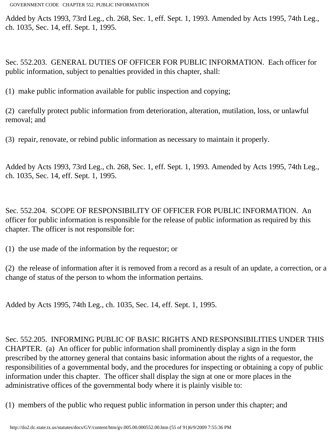Added by Acts 1993, 73rd Leg., ch. 268, Sec. 1, eff. Sept. 1, 1993. Amended by Acts 1995, 74th Leg., ch. 1035, Sec. 14, eff. Sept. 1, 1995.

Sec. 552.203. GENERAL DUTIES OF OFFICER FOR PUBLIC INFORMATION. Each officer for public information, subject to penalties provided in this chapter, shall:

(1) make public information available for public inspection and copying;

(2) carefully protect public information from deterioration, alteration, mutilation, loss, or unlawful removal; and

(3) repair, renovate, or rebind public information as necessary to maintain it properly.

Added by Acts 1993, 73rd Leg., ch. 268, Sec. 1, eff. Sept. 1, 1993. Amended by Acts 1995, 74th Leg., ch. 1035, Sec. 14, eff. Sept. 1, 1995.

Sec. 552.204. SCOPE OF RESPONSIBILITY OF OFFICER FOR PUBLIC INFORMATION. An officer for public information is responsible for the release of public information as required by this chapter. The officer is not responsible for:

(1) the use made of the information by the requestor; or

(2) the release of information after it is removed from a record as a result of an update, a correction, or a change of status of the person to whom the information pertains.

Added by Acts 1995, 74th Leg., ch. 1035, Sec. 14, eff. Sept. 1, 1995.

Sec. 552.205. INFORMING PUBLIC OF BASIC RIGHTS AND RESPONSIBILITIES UNDER THIS CHAPTER. (a) An officer for public information shall prominently display a sign in the form prescribed by the attorney general that contains basic information about the rights of a requestor, the responsibilities of a governmental body, and the procedures for inspecting or obtaining a copy of public information under this chapter. The officer shall display the sign at one or more places in the administrative offices of the governmental body where it is plainly visible to:

(1) members of the public who request public information in person under this chapter; and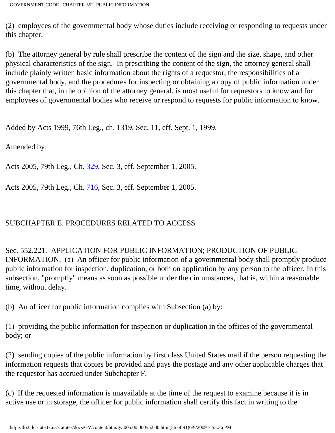(2) employees of the governmental body whose duties include receiving or responding to requests under this chapter.

(b) The attorney general by rule shall prescribe the content of the sign and the size, shape, and other physical characteristics of the sign. In prescribing the content of the sign, the attorney general shall include plainly written basic information about the rights of a requestor, the responsibilities of a governmental body, and the procedures for inspecting or obtaining a copy of public information under this chapter that, in the opinion of the attorney general, is most useful for requestors to know and for employees of governmental bodies who receive or respond to requests for public information to know.

Added by Acts 1999, 76th Leg., ch. 1319, Sec. 11, eff. Sept. 1, 1999.

Amended by:

Acts 2005, 79th Leg., Ch. [329](http://www.legis.state.tx.us/tlodocs/79R/billtext/html/SB00727F.HTM), Sec. 3, eff. September 1, 2005.

Acts 2005, 79th Leg., Ch. [716](http://www.legis.state.tx.us/tlodocs/79R/billtext/html/SB00452F.HTM), Sec. 3, eff. September 1, 2005.

# SUBCHAPTER E. PROCEDURES RELATED TO ACCESS

Sec. 552.221. APPLICATION FOR PUBLIC INFORMATION; PRODUCTION OF PUBLIC INFORMATION. (a) An officer for public information of a governmental body shall promptly produce public information for inspection, duplication, or both on application by any person to the officer. In this subsection, "promptly" means as soon as possible under the circumstances, that is, within a reasonable time, without delay.

(b) An officer for public information complies with Subsection (a) by:

(1) providing the public information for inspection or duplication in the offices of the governmental body; or

(2) sending copies of the public information by first class United States mail if the person requesting the information requests that copies be provided and pays the postage and any other applicable charges that the requestor has accrued under Subchapter F.

(c) If the requested information is unavailable at the time of the request to examine because it is in active use or in storage, the officer for public information shall certify this fact in writing to the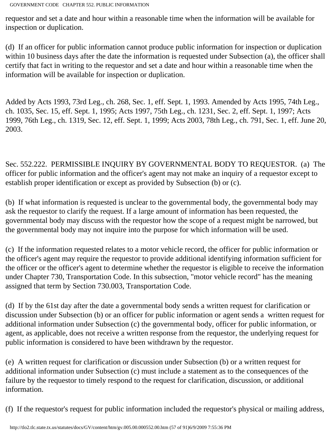requestor and set a date and hour within a reasonable time when the information will be available for inspection or duplication.

(d) If an officer for public information cannot produce public information for inspection or duplication within 10 business days after the date the information is requested under Subsection (a), the officer shall certify that fact in writing to the requestor and set a date and hour within a reasonable time when the information will be available for inspection or duplication.

Added by Acts 1993, 73rd Leg., ch. 268, Sec. 1, eff. Sept. 1, 1993. Amended by Acts 1995, 74th Leg., ch. 1035, Sec. 15, eff. Sept. 1, 1995; Acts 1997, 75th Leg., ch. 1231, Sec. 2, eff. Sept. 1, 1997; Acts 1999, 76th Leg., ch. 1319, Sec. 12, eff. Sept. 1, 1999; Acts 2003, 78th Leg., ch. 791, Sec. 1, eff. June 20, 2003.

Sec. 552.222. PERMISSIBLE INQUIRY BY GOVERNMENTAL BODY TO REQUESTOR. (a) The officer for public information and the officer's agent may not make an inquiry of a requestor except to establish proper identification or except as provided by Subsection (b) or (c).

(b) If what information is requested is unclear to the governmental body, the governmental body may ask the requestor to clarify the request. If a large amount of information has been requested, the governmental body may discuss with the requestor how the scope of a request might be narrowed, but the governmental body may not inquire into the purpose for which information will be used.

(c) If the information requested relates to a motor vehicle record, the officer for public information or the officer's agent may require the requestor to provide additional identifying information sufficient for the officer or the officer's agent to determine whether the requestor is eligible to receive the information under Chapter 730, Transportation Code. In this subsection, "motor vehicle record" has the meaning assigned that term by Section 730.003, Transportation Code.

(d) If by the 61st day after the date a governmental body sends a written request for clarification or discussion under Subsection (b) or an officer for public information or agent sends a written request for additional information under Subsection (c) the governmental body, officer for public information, or agent, as applicable, does not receive a written response from the requestor, the underlying request for public information is considered to have been withdrawn by the requestor.

(e) A written request for clarification or discussion under Subsection (b) or a written request for additional information under Subsection (c) must include a statement as to the consequences of the failure by the requestor to timely respond to the request for clarification, discussion, or additional information.

(f) If the requestor's request for public information included the requestor's physical or mailing address,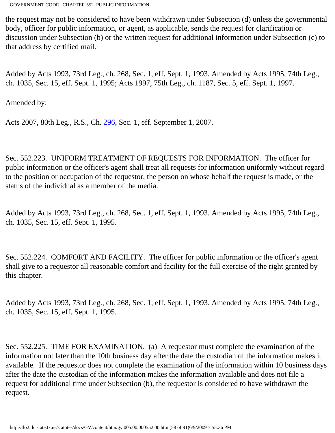the request may not be considered to have been withdrawn under Subsection (d) unless the governmental body, officer for public information, or agent, as applicable, sends the request for clarification or discussion under Subsection (b) or the written request for additional information under Subsection (c) to that address by certified mail.

Added by Acts 1993, 73rd Leg., ch. 268, Sec. 1, eff. Sept. 1, 1993. Amended by Acts 1995, 74th Leg., ch. 1035, Sec. 15, eff. Sept. 1, 1995; Acts 1997, 75th Leg., ch. 1187, Sec. 5, eff. Sept. 1, 1997.

Amended by:

Acts 2007, 80th Leg., R.S., Ch. [296](http://www.legis.state.tx.us/tlodocs/80R/billtext/html/HB01497F.HTM), Sec. 1, eff. September 1, 2007.

Sec. 552.223. UNIFORM TREATMENT OF REQUESTS FOR INFORMATION. The officer for public information or the officer's agent shall treat all requests for information uniformly without regard to the position or occupation of the requestor, the person on whose behalf the request is made, or the status of the individual as a member of the media.

Added by Acts 1993, 73rd Leg., ch. 268, Sec. 1, eff. Sept. 1, 1993. Amended by Acts 1995, 74th Leg., ch. 1035, Sec. 15, eff. Sept. 1, 1995.

Sec. 552.224. COMFORT AND FACILITY. The officer for public information or the officer's agent shall give to a requestor all reasonable comfort and facility for the full exercise of the right granted by this chapter.

Added by Acts 1993, 73rd Leg., ch. 268, Sec. 1, eff. Sept. 1, 1993. Amended by Acts 1995, 74th Leg., ch. 1035, Sec. 15, eff. Sept. 1, 1995.

Sec. 552.225. TIME FOR EXAMINATION. (a) A requestor must complete the examination of the information not later than the 10th business day after the date the custodian of the information makes it available. If the requestor does not complete the examination of the information within 10 business days after the date the custodian of the information makes the information available and does not file a request for additional time under Subsection (b), the requestor is considered to have withdrawn the request.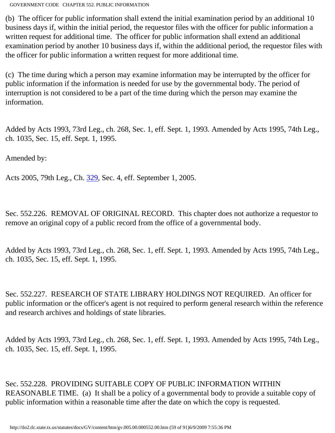(b) The officer for public information shall extend the initial examination period by an additional 10 business days if, within the initial period, the requestor files with the officer for public information a written request for additional time. The officer for public information shall extend an additional examination period by another 10 business days if, within the additional period, the requestor files with the officer for public information a written request for more additional time.

(c) The time during which a person may examine information may be interrupted by the officer for public information if the information is needed for use by the governmental body. The period of interruption is not considered to be a part of the time during which the person may examine the information.

Added by Acts 1993, 73rd Leg., ch. 268, Sec. 1, eff. Sept. 1, 1993. Amended by Acts 1995, 74th Leg., ch. 1035, Sec. 15, eff. Sept. 1, 1995.

Amended by:

Acts 2005, 79th Leg., Ch. [329](http://www.legis.state.tx.us/tlodocs/79R/billtext/html/SB00727F.HTM), Sec. 4, eff. September 1, 2005.

Sec. 552.226. REMOVAL OF ORIGINAL RECORD. This chapter does not authorize a requestor to remove an original copy of a public record from the office of a governmental body.

Added by Acts 1993, 73rd Leg., ch. 268, Sec. 1, eff. Sept. 1, 1993. Amended by Acts 1995, 74th Leg., ch. 1035, Sec. 15, eff. Sept. 1, 1995.

Sec. 552.227. RESEARCH OF STATE LIBRARY HOLDINGS NOT REQUIRED. An officer for public information or the officer's agent is not required to perform general research within the reference and research archives and holdings of state libraries.

Added by Acts 1993, 73rd Leg., ch. 268, Sec. 1, eff. Sept. 1, 1993. Amended by Acts 1995, 74th Leg., ch. 1035, Sec. 15, eff. Sept. 1, 1995.

Sec. 552.228. PROVIDING SUITABLE COPY OF PUBLIC INFORMATION WITHIN REASONABLE TIME. (a) It shall be a policy of a governmental body to provide a suitable copy of public information within a reasonable time after the date on which the copy is requested.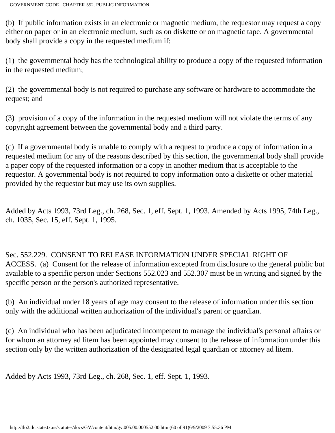(b) If public information exists in an electronic or magnetic medium, the requestor may request a copy either on paper or in an electronic medium, such as on diskette or on magnetic tape. A governmental body shall provide a copy in the requested medium if:

(1) the governmental body has the technological ability to produce a copy of the requested information in the requested medium;

(2) the governmental body is not required to purchase any software or hardware to accommodate the request; and

(3) provision of a copy of the information in the requested medium will not violate the terms of any copyright agreement between the governmental body and a third party.

(c) If a governmental body is unable to comply with a request to produce a copy of information in a requested medium for any of the reasons described by this section, the governmental body shall provide a paper copy of the requested information or a copy in another medium that is acceptable to the requestor. A governmental body is not required to copy information onto a diskette or other material provided by the requestor but may use its own supplies.

Added by Acts 1993, 73rd Leg., ch. 268, Sec. 1, eff. Sept. 1, 1993. Amended by Acts 1995, 74th Leg., ch. 1035, Sec. 15, eff. Sept. 1, 1995.

Sec. 552.229. CONSENT TO RELEASE INFORMATION UNDER SPECIAL RIGHT OF ACCESS. (a) Consent for the release of information excepted from disclosure to the general public but available to a specific person under Sections 552.023 and 552.307 must be in writing and signed by the specific person or the person's authorized representative.

(b) An individual under 18 years of age may consent to the release of information under this section only with the additional written authorization of the individual's parent or guardian.

(c) An individual who has been adjudicated incompetent to manage the individual's personal affairs or for whom an attorney ad litem has been appointed may consent to the release of information under this section only by the written authorization of the designated legal guardian or attorney ad litem.

Added by Acts 1993, 73rd Leg., ch. 268, Sec. 1, eff. Sept. 1, 1993.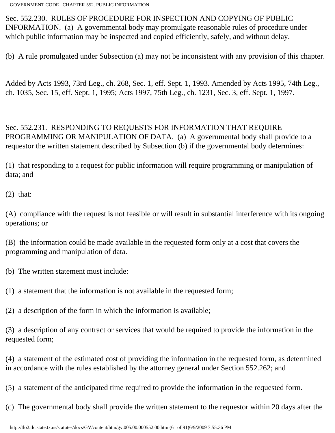Sec. 552.230. RULES OF PROCEDURE FOR INSPECTION AND COPYING OF PUBLIC INFORMATION. (a) A governmental body may promulgate reasonable rules of procedure under which public information may be inspected and copied efficiently, safely, and without delay.

(b) A rule promulgated under Subsection (a) may not be inconsistent with any provision of this chapter.

Added by Acts 1993, 73rd Leg., ch. 268, Sec. 1, eff. Sept. 1, 1993. Amended by Acts 1995, 74th Leg., ch. 1035, Sec. 15, eff. Sept. 1, 1995; Acts 1997, 75th Leg., ch. 1231, Sec. 3, eff. Sept. 1, 1997.

Sec. 552.231. RESPONDING TO REQUESTS FOR INFORMATION THAT REQUIRE PROGRAMMING OR MANIPULATION OF DATA. (a) A governmental body shall provide to a requestor the written statement described by Subsection (b) if the governmental body determines:

(1) that responding to a request for public information will require programming or manipulation of data; and

 $(2)$  that:

(A) compliance with the request is not feasible or will result in substantial interference with its ongoing operations; or

(B) the information could be made available in the requested form only at a cost that covers the programming and manipulation of data.

(b) The written statement must include:

(1) a statement that the information is not available in the requested form;

(2) a description of the form in which the information is available;

(3) a description of any contract or services that would be required to provide the information in the requested form;

(4) a statement of the estimated cost of providing the information in the requested form, as determined in accordance with the rules established by the attorney general under Section 552.262; and

(5) a statement of the anticipated time required to provide the information in the requested form.

(c) The governmental body shall provide the written statement to the requestor within 20 days after the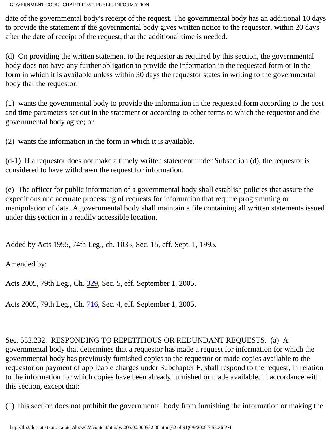date of the governmental body's receipt of the request. The governmental body has an additional 10 days to provide the statement if the governmental body gives written notice to the requestor, within 20 days after the date of receipt of the request, that the additional time is needed.

(d) On providing the written statement to the requestor as required by this section, the governmental body does not have any further obligation to provide the information in the requested form or in the form in which it is available unless within 30 days the requestor states in writing to the governmental body that the requestor:

(1) wants the governmental body to provide the information in the requested form according to the cost and time parameters set out in the statement or according to other terms to which the requestor and the governmental body agree; or

(2) wants the information in the form in which it is available.

(d-1) If a requestor does not make a timely written statement under Subsection (d), the requestor is considered to have withdrawn the request for information.

(e) The officer for public information of a governmental body shall establish policies that assure the expeditious and accurate processing of requests for information that require programming or manipulation of data. A governmental body shall maintain a file containing all written statements issued under this section in a readily accessible location.

Added by Acts 1995, 74th Leg., ch. 1035, Sec. 15, eff. Sept. 1, 1995.

Amended by:

Acts 2005, 79th Leg., Ch. [329](http://www.legis.state.tx.us/tlodocs/79R/billtext/html/SB00727F.HTM), Sec. 5, eff. September 1, 2005.

Acts 2005, 79th Leg., Ch. [716](http://www.legis.state.tx.us/tlodocs/79R/billtext/html/SB00452F.HTM), Sec. 4, eff. September 1, 2005.

Sec. 552.232. RESPONDING TO REPETITIOUS OR REDUNDANT REQUESTS. (a) A governmental body that determines that a requestor has made a request for information for which the governmental body has previously furnished copies to the requestor or made copies available to the requestor on payment of applicable charges under Subchapter F, shall respond to the request, in relation to the information for which copies have been already furnished or made available, in accordance with this section, except that:

(1) this section does not prohibit the governmental body from furnishing the information or making the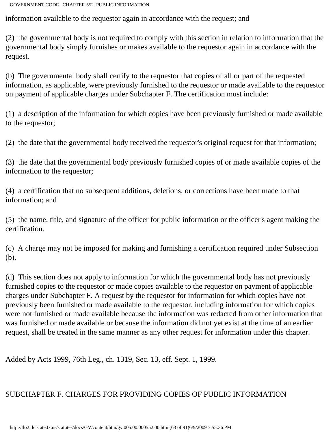information available to the requestor again in accordance with the request; and

(2) the governmental body is not required to comply with this section in relation to information that the governmental body simply furnishes or makes available to the requestor again in accordance with the request.

(b) The governmental body shall certify to the requestor that copies of all or part of the requested information, as applicable, were previously furnished to the requestor or made available to the requestor on payment of applicable charges under Subchapter F. The certification must include:

(1) a description of the information for which copies have been previously furnished or made available to the requestor;

(2) the date that the governmental body received the requestor's original request for that information;

(3) the date that the governmental body previously furnished copies of or made available copies of the information to the requestor;

(4) a certification that no subsequent additions, deletions, or corrections have been made to that information; and

(5) the name, title, and signature of the officer for public information or the officer's agent making the certification.

(c) A charge may not be imposed for making and furnishing a certification required under Subsection (b).

(d) This section does not apply to information for which the governmental body has not previously furnished copies to the requestor or made copies available to the requestor on payment of applicable charges under Subchapter F. A request by the requestor for information for which copies have not previously been furnished or made available to the requestor, including information for which copies were not furnished or made available because the information was redacted from other information that was furnished or made available or because the information did not yet exist at the time of an earlier request, shall be treated in the same manner as any other request for information under this chapter.

Added by Acts 1999, 76th Leg., ch. 1319, Sec. 13, eff. Sept. 1, 1999.

# SUBCHAPTER F. CHARGES FOR PROVIDING COPIES OF PUBLIC INFORMATION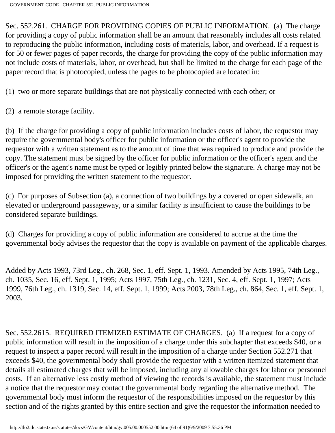Sec. 552.261. CHARGE FOR PROVIDING COPIES OF PUBLIC INFORMATION. (a) The charge for providing a copy of public information shall be an amount that reasonably includes all costs related to reproducing the public information, including costs of materials, labor, and overhead. If a request is for 50 or fewer pages of paper records, the charge for providing the copy of the public information may not include costs of materials, labor, or overhead, but shall be limited to the charge for each page of the paper record that is photocopied, unless the pages to be photocopied are located in:

(1) two or more separate buildings that are not physically connected with each other; or

(2) a remote storage facility.

(b) If the charge for providing a copy of public information includes costs of labor, the requestor may require the governmental body's officer for public information or the officer's agent to provide the requestor with a written statement as to the amount of time that was required to produce and provide the copy. The statement must be signed by the officer for public information or the officer's agent and the officer's or the agent's name must be typed or legibly printed below the signature. A charge may not be imposed for providing the written statement to the requestor.

(c) For purposes of Subsection (a), a connection of two buildings by a covered or open sidewalk, an elevated or underground passageway, or a similar facility is insufficient to cause the buildings to be considered separate buildings.

(d) Charges for providing a copy of public information are considered to accrue at the time the governmental body advises the requestor that the copy is available on payment of the applicable charges.

Added by Acts 1993, 73rd Leg., ch. 268, Sec. 1, eff. Sept. 1, 1993. Amended by Acts 1995, 74th Leg., ch. 1035, Sec. 16, eff. Sept. 1, 1995; Acts 1997, 75th Leg., ch. 1231, Sec. 4, eff. Sept. 1, 1997; Acts 1999, 76th Leg., ch. 1319, Sec. 14, eff. Sept. 1, 1999; Acts 2003, 78th Leg., ch. 864, Sec. 1, eff. Sept. 1, 2003.

Sec. 552.2615. REQUIRED ITEMIZED ESTIMATE OF CHARGES. (a) If a request for a copy of public information will result in the imposition of a charge under this subchapter that exceeds \$40, or a request to inspect a paper record will result in the imposition of a charge under Section 552.271 that exceeds \$40, the governmental body shall provide the requestor with a written itemized statement that details all estimated charges that will be imposed, including any allowable charges for labor or personnel costs. If an alternative less costly method of viewing the records is available, the statement must include a notice that the requestor may contact the governmental body regarding the alternative method. The governmental body must inform the requestor of the responsibilities imposed on the requestor by this section and of the rights granted by this entire section and give the requestor the information needed to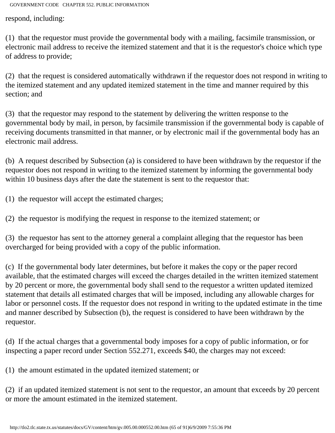respond, including:

(1) that the requestor must provide the governmental body with a mailing, facsimile transmission, or electronic mail address to receive the itemized statement and that it is the requestor's choice which type of address to provide;

(2) that the request is considered automatically withdrawn if the requestor does not respond in writing to the itemized statement and any updated itemized statement in the time and manner required by this section; and

(3) that the requestor may respond to the statement by delivering the written response to the governmental body by mail, in person, by facsimile transmission if the governmental body is capable of receiving documents transmitted in that manner, or by electronic mail if the governmental body has an electronic mail address.

(b) A request described by Subsection (a) is considered to have been withdrawn by the requestor if the requestor does not respond in writing to the itemized statement by informing the governmental body within 10 business days after the date the statement is sent to the requestor that:

(1) the requestor will accept the estimated charges;

(2) the requestor is modifying the request in response to the itemized statement; or

(3) the requestor has sent to the attorney general a complaint alleging that the requestor has been overcharged for being provided with a copy of the public information.

(c) If the governmental body later determines, but before it makes the copy or the paper record available, that the estimated charges will exceed the charges detailed in the written itemized statement by 20 percent or more, the governmental body shall send to the requestor a written updated itemized statement that details all estimated charges that will be imposed, including any allowable charges for labor or personnel costs. If the requestor does not respond in writing to the updated estimate in the time and manner described by Subsection (b), the request is considered to have been withdrawn by the requestor.

(d) If the actual charges that a governmental body imposes for a copy of public information, or for inspecting a paper record under Section 552.271, exceeds \$40, the charges may not exceed:

(1) the amount estimated in the updated itemized statement; or

(2) if an updated itemized statement is not sent to the requestor, an amount that exceeds by 20 percent or more the amount estimated in the itemized statement.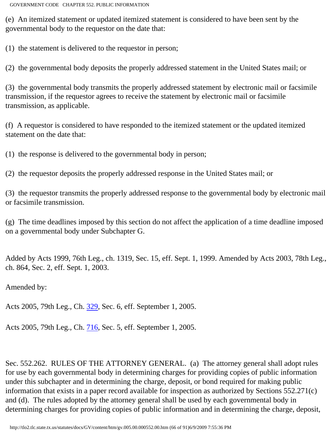(e) An itemized statement or updated itemized statement is considered to have been sent by the governmental body to the requestor on the date that:

(1) the statement is delivered to the requestor in person;

(2) the governmental body deposits the properly addressed statement in the United States mail; or

(3) the governmental body transmits the properly addressed statement by electronic mail or facsimile transmission, if the requestor agrees to receive the statement by electronic mail or facsimile transmission, as applicable.

(f) A requestor is considered to have responded to the itemized statement or the updated itemized statement on the date that:

(1) the response is delivered to the governmental body in person;

(2) the requestor deposits the properly addressed response in the United States mail; or

(3) the requestor transmits the properly addressed response to the governmental body by electronic mail or facsimile transmission.

(g) The time deadlines imposed by this section do not affect the application of a time deadline imposed on a governmental body under Subchapter G.

Added by Acts 1999, 76th Leg., ch. 1319, Sec. 15, eff. Sept. 1, 1999. Amended by Acts 2003, 78th Leg., ch. 864, Sec. 2, eff. Sept. 1, 2003.

Amended by:

Acts 2005, 79th Leg., Ch. [329](http://www.legis.state.tx.us/tlodocs/79R/billtext/html/SB00727F.HTM), Sec. 6, eff. September 1, 2005.

Acts 2005, 79th Leg., Ch. [716](http://www.legis.state.tx.us/tlodocs/79R/billtext/html/SB00452F.HTM), Sec. 5, eff. September 1, 2005.

Sec. 552.262. RULES OF THE ATTORNEY GENERAL. (a) The attorney general shall adopt rules for use by each governmental body in determining charges for providing copies of public information under this subchapter and in determining the charge, deposit, or bond required for making public information that exists in a paper record available for inspection as authorized by Sections 552.271(c) and (d). The rules adopted by the attorney general shall be used by each governmental body in determining charges for providing copies of public information and in determining the charge, deposit,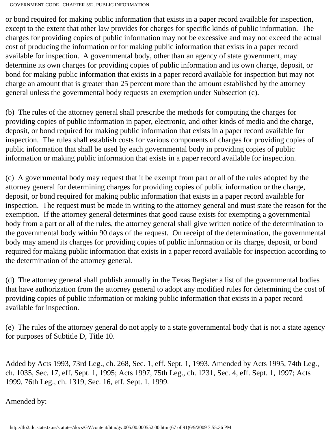or bond required for making public information that exists in a paper record available for inspection, except to the extent that other law provides for charges for specific kinds of public information. The charges for providing copies of public information may not be excessive and may not exceed the actual cost of producing the information or for making public information that exists in a paper record available for inspection. A governmental body, other than an agency of state government, may determine its own charges for providing copies of public information and its own charge, deposit, or bond for making public information that exists in a paper record available for inspection but may not charge an amount that is greater than 25 percent more than the amount established by the attorney general unless the governmental body requests an exemption under Subsection (c).

(b) The rules of the attorney general shall prescribe the methods for computing the charges for providing copies of public information in paper, electronic, and other kinds of media and the charge, deposit, or bond required for making public information that exists in a paper record available for inspection. The rules shall establish costs for various components of charges for providing copies of public information that shall be used by each governmental body in providing copies of public information or making public information that exists in a paper record available for inspection.

(c) A governmental body may request that it be exempt from part or all of the rules adopted by the attorney general for determining charges for providing copies of public information or the charge, deposit, or bond required for making public information that exists in a paper record available for inspection. The request must be made in writing to the attorney general and must state the reason for the exemption. If the attorney general determines that good cause exists for exempting a governmental body from a part or all of the rules, the attorney general shall give written notice of the determination to the governmental body within 90 days of the request. On receipt of the determination, the governmental body may amend its charges for providing copies of public information or its charge, deposit, or bond required for making public information that exists in a paper record available for inspection according to the determination of the attorney general.

(d) The attorney general shall publish annually in the Texas Register a list of the governmental bodies that have authorization from the attorney general to adopt any modified rules for determining the cost of providing copies of public information or making public information that exists in a paper record available for inspection.

(e) The rules of the attorney general do not apply to a state governmental body that is not a state agency for purposes of Subtitle D, Title 10.

Added by Acts 1993, 73rd Leg., ch. 268, Sec. 1, eff. Sept. 1, 1993. Amended by Acts 1995, 74th Leg., ch. 1035, Sec. 17, eff. Sept. 1, 1995; Acts 1997, 75th Leg., ch. 1231, Sec. 4, eff. Sept. 1, 1997; Acts 1999, 76th Leg., ch. 1319, Sec. 16, eff. Sept. 1, 1999.

Amended by: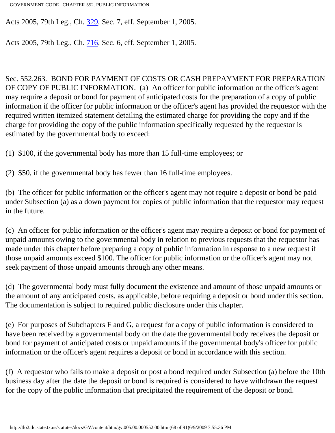Acts 2005, 79th Leg., Ch. [329](http://www.legis.state.tx.us/tlodocs/79R/billtext/html/SB00727F.HTM), Sec. 7, eff. September 1, 2005.

Acts 2005, 79th Leg., Ch. [716](http://www.legis.state.tx.us/tlodocs/79R/billtext/html/SB00452F.HTM), Sec. 6, eff. September 1, 2005.

Sec. 552.263. BOND FOR PAYMENT OF COSTS OR CASH PREPAYMENT FOR PREPARATION OF COPY OF PUBLIC INFORMATION. (a) An officer for public information or the officer's agent may require a deposit or bond for payment of anticipated costs for the preparation of a copy of public information if the officer for public information or the officer's agent has provided the requestor with the required written itemized statement detailing the estimated charge for providing the copy and if the charge for providing the copy of the public information specifically requested by the requestor is estimated by the governmental body to exceed:

(1) \$100, if the governmental body has more than 15 full-time employees; or

(2) \$50, if the governmental body has fewer than 16 full-time employees.

(b) The officer for public information or the officer's agent may not require a deposit or bond be paid under Subsection (a) as a down payment for copies of public information that the requestor may request in the future.

(c) An officer for public information or the officer's agent may require a deposit or bond for payment of unpaid amounts owing to the governmental body in relation to previous requests that the requestor has made under this chapter before preparing a copy of public information in response to a new request if those unpaid amounts exceed \$100. The officer for public information or the officer's agent may not seek payment of those unpaid amounts through any other means.

(d) The governmental body must fully document the existence and amount of those unpaid amounts or the amount of any anticipated costs, as applicable, before requiring a deposit or bond under this section. The documentation is subject to required public disclosure under this chapter.

(e) For purposes of Subchapters F and G, a request for a copy of public information is considered to have been received by a governmental body on the date the governmental body receives the deposit or bond for payment of anticipated costs or unpaid amounts if the governmental body's officer for public information or the officer's agent requires a deposit or bond in accordance with this section.

(f) A requestor who fails to make a deposit or post a bond required under Subsection (a) before the 10th business day after the date the deposit or bond is required is considered to have withdrawn the request for the copy of the public information that precipitated the requirement of the deposit or bond.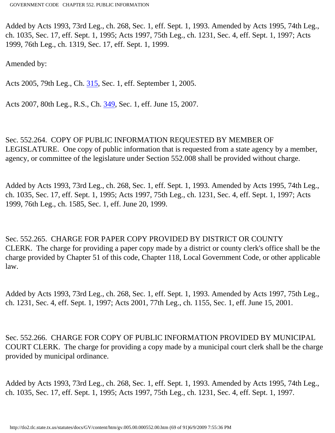Added by Acts 1993, 73rd Leg., ch. 268, Sec. 1, eff. Sept. 1, 1993. Amended by Acts 1995, 74th Leg., ch. 1035, Sec. 17, eff. Sept. 1, 1995; Acts 1997, 75th Leg., ch. 1231, Sec. 4, eff. Sept. 1, 1997; Acts 1999, 76th Leg., ch. 1319, Sec. 17, eff. Sept. 1, 1999.

Amended by:

Acts 2005, 79th Leg., Ch. [315](http://www.legis.state.tx.us/tlodocs/79R/billtext/html/SB00623F.HTM), Sec. 1, eff. September 1, 2005.

Acts 2007, 80th Leg., R.S., Ch. [349](http://www.legis.state.tx.us/tlodocs/80R/billtext/html/SB00175F.HTM), Sec. 1, eff. June 15, 2007.

Sec. 552.264. COPY OF PUBLIC INFORMATION REQUESTED BY MEMBER OF LEGISLATURE. One copy of public information that is requested from a state agency by a member, agency, or committee of the legislature under Section 552.008 shall be provided without charge.

Added by Acts 1993, 73rd Leg., ch. 268, Sec. 1, eff. Sept. 1, 1993. Amended by Acts 1995, 74th Leg., ch. 1035, Sec. 17, eff. Sept. 1, 1995; Acts 1997, 75th Leg., ch. 1231, Sec. 4, eff. Sept. 1, 1997; Acts 1999, 76th Leg., ch. 1585, Sec. 1, eff. June 20, 1999.

Sec. 552.265. CHARGE FOR PAPER COPY PROVIDED BY DISTRICT OR COUNTY CLERK. The charge for providing a paper copy made by a district or county clerk's office shall be the charge provided by Chapter 51 of this code, Chapter 118, Local Government Code, or other applicable law.

Added by Acts 1993, 73rd Leg., ch. 268, Sec. 1, eff. Sept. 1, 1993. Amended by Acts 1997, 75th Leg., ch. 1231, Sec. 4, eff. Sept. 1, 1997; Acts 2001, 77th Leg., ch. 1155, Sec. 1, eff. June 15, 2001.

Sec. 552.266. CHARGE FOR COPY OF PUBLIC INFORMATION PROVIDED BY MUNICIPAL COURT CLERK. The charge for providing a copy made by a municipal court clerk shall be the charge provided by municipal ordinance.

Added by Acts 1993, 73rd Leg., ch. 268, Sec. 1, eff. Sept. 1, 1993. Amended by Acts 1995, 74th Leg., ch. 1035, Sec. 17, eff. Sept. 1, 1995; Acts 1997, 75th Leg., ch. 1231, Sec. 4, eff. Sept. 1, 1997.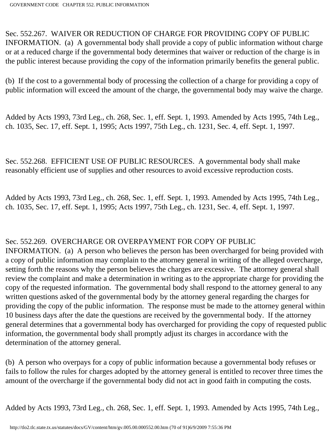Sec. 552.267. WAIVER OR REDUCTION OF CHARGE FOR PROVIDING COPY OF PUBLIC INFORMATION. (a) A governmental body shall provide a copy of public information without charge or at a reduced charge if the governmental body determines that waiver or reduction of the charge is in the public interest because providing the copy of the information primarily benefits the general public.

(b) If the cost to a governmental body of processing the collection of a charge for providing a copy of public information will exceed the amount of the charge, the governmental body may waive the charge.

Added by Acts 1993, 73rd Leg., ch. 268, Sec. 1, eff. Sept. 1, 1993. Amended by Acts 1995, 74th Leg., ch. 1035, Sec. 17, eff. Sept. 1, 1995; Acts 1997, 75th Leg., ch. 1231, Sec. 4, eff. Sept. 1, 1997.

Sec. 552.268. EFFICIENT USE OF PUBLIC RESOURCES. A governmental body shall make reasonably efficient use of supplies and other resources to avoid excessive reproduction costs.

Added by Acts 1993, 73rd Leg., ch. 268, Sec. 1, eff. Sept. 1, 1993. Amended by Acts 1995, 74th Leg., ch. 1035, Sec. 17, eff. Sept. 1, 1995; Acts 1997, 75th Leg., ch. 1231, Sec. 4, eff. Sept. 1, 1997.

### Sec. 552.269. OVERCHARGE OR OVERPAYMENT FOR COPY OF PUBLIC

INFORMATION. (a) A person who believes the person has been overcharged for being provided with a copy of public information may complain to the attorney general in writing of the alleged overcharge, setting forth the reasons why the person believes the charges are excessive. The attorney general shall review the complaint and make a determination in writing as to the appropriate charge for providing the copy of the requested information. The governmental body shall respond to the attorney general to any written questions asked of the governmental body by the attorney general regarding the charges for providing the copy of the public information. The response must be made to the attorney general within 10 business days after the date the questions are received by the governmental body. If the attorney general determines that a governmental body has overcharged for providing the copy of requested public information, the governmental body shall promptly adjust its charges in accordance with the determination of the attorney general.

(b) A person who overpays for a copy of public information because a governmental body refuses or fails to follow the rules for charges adopted by the attorney general is entitled to recover three times the amount of the overcharge if the governmental body did not act in good faith in computing the costs.

Added by Acts 1993, 73rd Leg., ch. 268, Sec. 1, eff. Sept. 1, 1993. Amended by Acts 1995, 74th Leg.,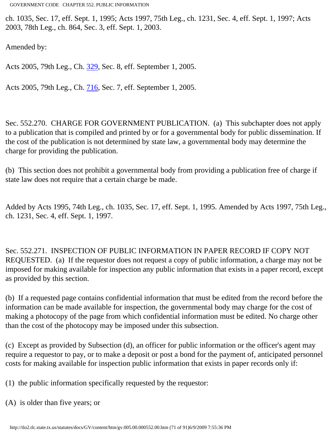ch. 1035, Sec. 17, eff. Sept. 1, 1995; Acts 1997, 75th Leg., ch. 1231, Sec. 4, eff. Sept. 1, 1997; Acts 2003, 78th Leg., ch. 864, Sec. 3, eff. Sept. 1, 2003.

Amended by:

Acts 2005, 79th Leg., Ch. [329](http://www.legis.state.tx.us/tlodocs/79R/billtext/html/SB00727F.HTM), Sec. 8, eff. September 1, 2005.

Acts 2005, 79th Leg., Ch. [716](http://www.legis.state.tx.us/tlodocs/79R/billtext/html/SB00452F.HTM), Sec. 7, eff. September 1, 2005.

Sec. 552.270. CHARGE FOR GOVERNMENT PUBLICATION. (a) This subchapter does not apply to a publication that is compiled and printed by or for a governmental body for public dissemination. If the cost of the publication is not determined by state law, a governmental body may determine the charge for providing the publication.

(b) This section does not prohibit a governmental body from providing a publication free of charge if state law does not require that a certain charge be made.

Added by Acts 1995, 74th Leg., ch. 1035, Sec. 17, eff. Sept. 1, 1995. Amended by Acts 1997, 75th Leg., ch. 1231, Sec. 4, eff. Sept. 1, 1997.

Sec. 552.271. INSPECTION OF PUBLIC INFORMATION IN PAPER RECORD IF COPY NOT REQUESTED. (a) If the requestor does not request a copy of public information, a charge may not be imposed for making available for inspection any public information that exists in a paper record, except as provided by this section.

(b) If a requested page contains confidential information that must be edited from the record before the information can be made available for inspection, the governmental body may charge for the cost of making a photocopy of the page from which confidential information must be edited. No charge other than the cost of the photocopy may be imposed under this subsection.

(c) Except as provided by Subsection (d), an officer for public information or the officer's agent may require a requestor to pay, or to make a deposit or post a bond for the payment of, anticipated personnel costs for making available for inspection public information that exists in paper records only if:

(1) the public information specifically requested by the requestor:

(A) is older than five years; or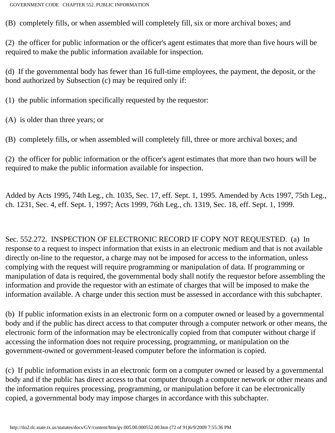(B) completely fills, or when assembled will completely fill, six or more archival boxes; and

(2) the officer for public information or the officer's agent estimates that more than five hours will be required to make the public information available for inspection.

(d) If the governmental body has fewer than 16 full-time employees, the payment, the deposit, or the bond authorized by Subsection (c) may be required only if:

(1) the public information specifically requested by the requestor:

(A) is older than three years; or

(B) completely fills, or when assembled will completely fill, three or more archival boxes; and

(2) the officer for public information or the officer's agent estimates that more than two hours will be required to make the public information available for inspection.

Added by Acts 1995, 74th Leg., ch. 1035, Sec. 17, eff. Sept. 1, 1995. Amended by Acts 1997, 75th Leg., ch. 1231, Sec. 4, eff. Sept. 1, 1997; Acts 1999, 76th Leg., ch. 1319, Sec. 18, eff. Sept. 1, 1999.

Sec. 552.272. INSPECTION OF ELECTRONIC RECORD IF COPY NOT REQUESTED. (a) In response to a request to inspect information that exists in an electronic medium and that is not available directly on-line to the requestor, a charge may not be imposed for access to the information, unless complying with the request will require programming or manipulation of data. If programming or manipulation of data is required, the governmental body shall notify the requestor before assembling the information and provide the requestor with an estimate of charges that will be imposed to make the information available. A charge under this section must be assessed in accordance with this subchapter.

(b) If public information exists in an electronic form on a computer owned or leased by a governmental body and if the public has direct access to that computer through a computer network or other means, the electronic form of the information may be electronically copied from that computer without charge if accessing the information does not require processing, programming, or manipulation on the government-owned or government-leased computer before the information is copied.

(c) If public information exists in an electronic form on a computer owned or leased by a governmental body and if the public has direct access to that computer through a computer network or other means and the information requires processing, programming, or manipulation before it can be electronically copied, a governmental body may impose charges in accordance with this subchapter.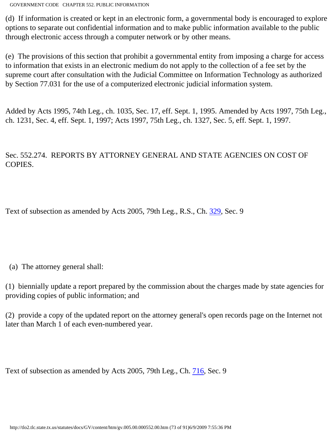(d) If information is created or kept in an electronic form, a governmental body is encouraged to explore options to separate out confidential information and to make public information available to the public through electronic access through a computer network or by other means.

(e) The provisions of this section that prohibit a governmental entity from imposing a charge for access to information that exists in an electronic medium do not apply to the collection of a fee set by the supreme court after consultation with the Judicial Committee on Information Technology as authorized by Section 77.031 for the use of a computerized electronic judicial information system.

Added by Acts 1995, 74th Leg., ch. 1035, Sec. 17, eff. Sept. 1, 1995. Amended by Acts 1997, 75th Leg., ch. 1231, Sec. 4, eff. Sept. 1, 1997; Acts 1997, 75th Leg., ch. 1327, Sec. 5, eff. Sept. 1, 1997.

#### Sec. 552.274. REPORTS BY ATTORNEY GENERAL AND STATE AGENCIES ON COST OF COPIES.

Text of subsection as amended by Acts 2005, 79th Leg., R.S., Ch. [329,](http://www.legis.state.tx.us/tlodocs/79R/billtext/html/SB00727F.HTM) Sec. 9

(a) The attorney general shall:

(1) biennially update a report prepared by the commission about the charges made by state agencies for providing copies of public information; and

(2) provide a copy of the updated report on the attorney general's open records page on the Internet not later than March 1 of each even-numbered year.

Text of subsection as amended by Acts 2005, 79th Leg., Ch. [716,](http://www.legis.state.tx.us/tlodocs/79R/billtext/html/SB00452F.HTM) Sec. 9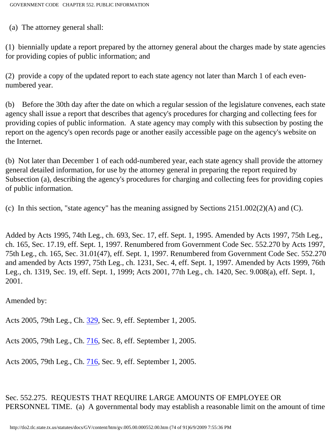(a) The attorney general shall:

(1) biennially update a report prepared by the attorney general about the charges made by state agencies for providing copies of public information; and

(2) provide a copy of the updated report to each state agency not later than March 1 of each evennumbered year.

(b) Before the 30th day after the date on which a regular session of the legislature convenes, each state agency shall issue a report that describes that agency's procedures for charging and collecting fees for providing copies of public information. A state agency may comply with this subsection by posting the report on the agency's open records page or another easily accessible page on the agency's website on the Internet.

(b) Not later than December 1 of each odd-numbered year, each state agency shall provide the attorney general detailed information, for use by the attorney general in preparing the report required by Subsection (a), describing the agency's procedures for charging and collecting fees for providing copies of public information.

(c) In this section, "state agency" has the meaning assigned by Sections 2151.002(2)(A) and (C).

Added by Acts 1995, 74th Leg., ch. 693, Sec. 17, eff. Sept. 1, 1995. Amended by Acts 1997, 75th Leg., ch. 165, Sec. 17.19, eff. Sept. 1, 1997. Renumbered from Government Code Sec. 552.270 by Acts 1997, 75th Leg., ch. 165, Sec. 31.01(47), eff. Sept. 1, 1997. Renumbered from Government Code Sec. 552.270 and amended by Acts 1997, 75th Leg., ch. 1231, Sec. 4, eff. Sept. 1, 1997. Amended by Acts 1999, 76th Leg., ch. 1319, Sec. 19, eff. Sept. 1, 1999; Acts 2001, 77th Leg., ch. 1420, Sec. 9.008(a), eff. Sept. 1, 2001.

Amended by:

Acts 2005, 79th Leg., Ch. [329](http://www.legis.state.tx.us/tlodocs/79R/billtext/html/SB00727F.HTM), Sec. 9, eff. September 1, 2005.

Acts 2005, 79th Leg., Ch. [716](http://www.legis.state.tx.us/tlodocs/79R/billtext/html/SB00452F.HTM), Sec. 8, eff. September 1, 2005.

Acts 2005, 79th Leg., Ch. [716](http://www.legis.state.tx.us/tlodocs/79R/billtext/html/SB00452F.HTM), Sec. 9, eff. September 1, 2005.

Sec. 552.275. REQUESTS THAT REQUIRE LARGE AMOUNTS OF EMPLOYEE OR PERSONNEL TIME. (a) A governmental body may establish a reasonable limit on the amount of time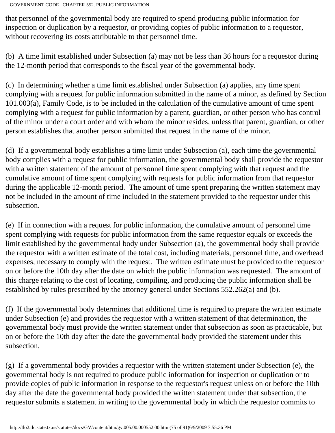that personnel of the governmental body are required to spend producing public information for inspection or duplication by a requestor, or providing copies of public information to a requestor, without recovering its costs attributable to that personnel time.

(b) A time limit established under Subsection (a) may not be less than 36 hours for a requestor during the 12-month period that corresponds to the fiscal year of the governmental body.

(c) In determining whether a time limit established under Subsection (a) applies, any time spent complying with a request for public information submitted in the name of a minor, as defined by Section 101.003(a), Family Code, is to be included in the calculation of the cumulative amount of time spent complying with a request for public information by a parent, guardian, or other person who has control of the minor under a court order and with whom the minor resides, unless that parent, guardian, or other person establishes that another person submitted that request in the name of the minor.

(d) If a governmental body establishes a time limit under Subsection (a), each time the governmental body complies with a request for public information, the governmental body shall provide the requestor with a written statement of the amount of personnel time spent complying with that request and the cumulative amount of time spent complying with requests for public information from that requestor during the applicable 12-month period. The amount of time spent preparing the written statement may not be included in the amount of time included in the statement provided to the requestor under this subsection.

(e) If in connection with a request for public information, the cumulative amount of personnel time spent complying with requests for public information from the same requestor equals or exceeds the limit established by the governmental body under Subsection (a), the governmental body shall provide the requestor with a written estimate of the total cost, including materials, personnel time, and overhead expenses, necessary to comply with the request. The written estimate must be provided to the requestor on or before the 10th day after the date on which the public information was requested. The amount of this charge relating to the cost of locating, compiling, and producing the public information shall be established by rules prescribed by the attorney general under Sections 552.262(a) and (b).

(f) If the governmental body determines that additional time is required to prepare the written estimate under Subsection (e) and provides the requestor with a written statement of that determination, the governmental body must provide the written statement under that subsection as soon as practicable, but on or before the 10th day after the date the governmental body provided the statement under this subsection.

(g) If a governmental body provides a requestor with the written statement under Subsection (e), the governmental body is not required to produce public information for inspection or duplication or to provide copies of public information in response to the requestor's request unless on or before the 10th day after the date the governmental body provided the written statement under that subsection, the requestor submits a statement in writing to the governmental body in which the requestor commits to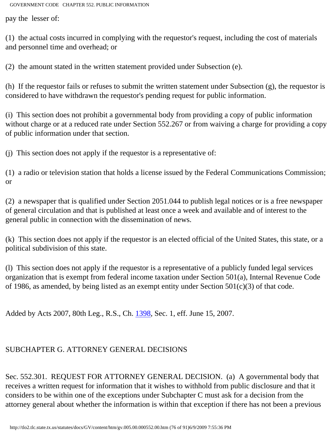pay the lesser of:

(1) the actual costs incurred in complying with the requestor's request, including the cost of materials and personnel time and overhead; or

(2) the amount stated in the written statement provided under Subsection (e).

(h) If the requestor fails or refuses to submit the written statement under Subsection (g), the requestor is considered to have withdrawn the requestor's pending request for public information.

(i) This section does not prohibit a governmental body from providing a copy of public information without charge or at a reduced rate under Section 552.267 or from waiving a charge for providing a copy of public information under that section.

(j) This section does not apply if the requestor is a representative of:

(1) a radio or television station that holds a license issued by the Federal Communications Commission; or

(2) a newspaper that is qualified under Section 2051.044 to publish legal notices or is a free newspaper of general circulation and that is published at least once a week and available and of interest to the general public in connection with the dissemination of news.

(k) This section does not apply if the requestor is an elected official of the United States, this state, or a political subdivision of this state.

(l) This section does not apply if the requestor is a representative of a publicly funded legal services organization that is exempt from federal income taxation under Section 501(a), Internal Revenue Code of 1986, as amended, by being listed as an exempt entity under Section  $501(c)(3)$  of that code.

Added by Acts 2007, 80th Leg., R.S., Ch. [1398,](http://www.legis.state.tx.us/tlodocs/80R/billtext/html/HB02564F.HTM) Sec. 1, eff. June 15, 2007.

## SUBCHAPTER G. ATTORNEY GENERAL DECISIONS

Sec. 552.301. REQUEST FOR ATTORNEY GENERAL DECISION. (a) A governmental body that receives a written request for information that it wishes to withhold from public disclosure and that it considers to be within one of the exceptions under Subchapter C must ask for a decision from the attorney general about whether the information is within that exception if there has not been a previous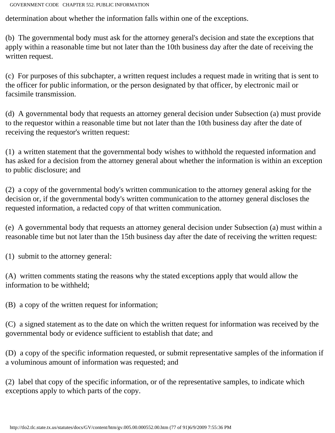determination about whether the information falls within one of the exceptions.

(b) The governmental body must ask for the attorney general's decision and state the exceptions that apply within a reasonable time but not later than the 10th business day after the date of receiving the written request.

(c) For purposes of this subchapter, a written request includes a request made in writing that is sent to the officer for public information, or the person designated by that officer, by electronic mail or facsimile transmission.

(d) A governmental body that requests an attorney general decision under Subsection (a) must provide to the requestor within a reasonable time but not later than the 10th business day after the date of receiving the requestor's written request:

(1) a written statement that the governmental body wishes to withhold the requested information and has asked for a decision from the attorney general about whether the information is within an exception to public disclosure; and

(2) a copy of the governmental body's written communication to the attorney general asking for the decision or, if the governmental body's written communication to the attorney general discloses the requested information, a redacted copy of that written communication.

(e) A governmental body that requests an attorney general decision under Subsection (a) must within a reasonable time but not later than the 15th business day after the date of receiving the written request:

(1) submit to the attorney general:

(A) written comments stating the reasons why the stated exceptions apply that would allow the information to be withheld;

(B) a copy of the written request for information;

(C) a signed statement as to the date on which the written request for information was received by the governmental body or evidence sufficient to establish that date; and

(D) a copy of the specific information requested, or submit representative samples of the information if a voluminous amount of information was requested; and

(2) label that copy of the specific information, or of the representative samples, to indicate which exceptions apply to which parts of the copy.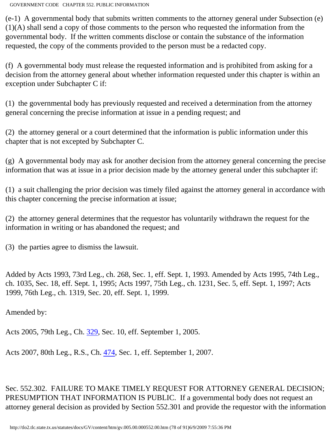(e-1) A governmental body that submits written comments to the attorney general under Subsection (e) (1)(A) shall send a copy of those comments to the person who requested the information from the governmental body. If the written comments disclose or contain the substance of the information requested, the copy of the comments provided to the person must be a redacted copy.

(f) A governmental body must release the requested information and is prohibited from asking for a decision from the attorney general about whether information requested under this chapter is within an exception under Subchapter C if:

(1) the governmental body has previously requested and received a determination from the attorney general concerning the precise information at issue in a pending request; and

(2) the attorney general or a court determined that the information is public information under this chapter that is not excepted by Subchapter C.

(g) A governmental body may ask for another decision from the attorney general concerning the precise information that was at issue in a prior decision made by the attorney general under this subchapter if:

(1) a suit challenging the prior decision was timely filed against the attorney general in accordance with this chapter concerning the precise information at issue;

(2) the attorney general determines that the requestor has voluntarily withdrawn the request for the information in writing or has abandoned the request; and

(3) the parties agree to dismiss the lawsuit.

Added by Acts 1993, 73rd Leg., ch. 268, Sec. 1, eff. Sept. 1, 1993. Amended by Acts 1995, 74th Leg., ch. 1035, Sec. 18, eff. Sept. 1, 1995; Acts 1997, 75th Leg., ch. 1231, Sec. 5, eff. Sept. 1, 1997; Acts 1999, 76th Leg., ch. 1319, Sec. 20, eff. Sept. 1, 1999.

Amended by:

Acts 2005, 79th Leg., Ch. [329](http://www.legis.state.tx.us/tlodocs/79R/billtext/html/SB00727F.HTM), Sec. 10, eff. September 1, 2005.

Acts 2007, 80th Leg., R.S., Ch. [474](http://www.legis.state.tx.us/tlodocs/80R/billtext/html/HB02248F.HTM), Sec. 1, eff. September 1, 2007.

Sec. 552.302. FAILURE TO MAKE TIMELY REQUEST FOR ATTORNEY GENERAL DECISION; PRESUMPTION THAT INFORMATION IS PUBLIC. If a governmental body does not request an attorney general decision as provided by Section 552.301 and provide the requestor with the information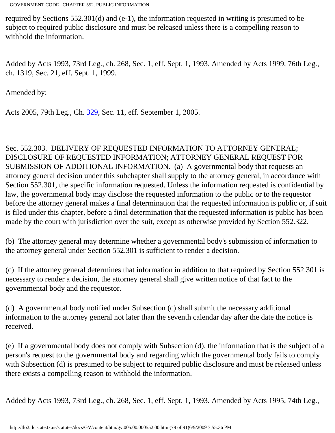required by Sections 552.301(d) and (e-1), the information requested in writing is presumed to be subject to required public disclosure and must be released unless there is a compelling reason to withhold the information.

Added by Acts 1993, 73rd Leg., ch. 268, Sec. 1, eff. Sept. 1, 1993. Amended by Acts 1999, 76th Leg., ch. 1319, Sec. 21, eff. Sept. 1, 1999.

Amended by:

Acts 2005, 79th Leg., Ch. [329](http://www.legis.state.tx.us/tlodocs/79R/billtext/html/SB00727F.HTM), Sec. 11, eff. September 1, 2005.

Sec. 552.303. DELIVERY OF REQUESTED INFORMATION TO ATTORNEY GENERAL; DISCLOSURE OF REQUESTED INFORMATION; ATTORNEY GENERAL REQUEST FOR SUBMISSION OF ADDITIONAL INFORMATION. (a) A governmental body that requests an attorney general decision under this subchapter shall supply to the attorney general, in accordance with Section 552.301, the specific information requested. Unless the information requested is confidential by law, the governmental body may disclose the requested information to the public or to the requestor before the attorney general makes a final determination that the requested information is public or, if suit is filed under this chapter, before a final determination that the requested information is public has been made by the court with jurisdiction over the suit, except as otherwise provided by Section 552.322.

(b) The attorney general may determine whether a governmental body's submission of information to the attorney general under Section 552.301 is sufficient to render a decision.

(c) If the attorney general determines that information in addition to that required by Section 552.301 is necessary to render a decision, the attorney general shall give written notice of that fact to the governmental body and the requestor.

(d) A governmental body notified under Subsection (c) shall submit the necessary additional information to the attorney general not later than the seventh calendar day after the date the notice is received.

(e) If a governmental body does not comply with Subsection (d), the information that is the subject of a person's request to the governmental body and regarding which the governmental body fails to comply with Subsection (d) is presumed to be subject to required public disclosure and must be released unless there exists a compelling reason to withhold the information.

Added by Acts 1993, 73rd Leg., ch. 268, Sec. 1, eff. Sept. 1, 1993. Amended by Acts 1995, 74th Leg.,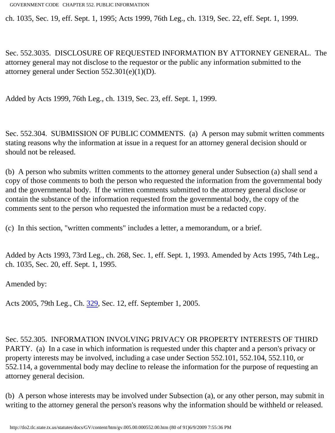ch. 1035, Sec. 19, eff. Sept. 1, 1995; Acts 1999, 76th Leg., ch. 1319, Sec. 22, eff. Sept. 1, 1999.

Sec. 552.3035. DISCLOSURE OF REQUESTED INFORMATION BY ATTORNEY GENERAL. The attorney general may not disclose to the requestor or the public any information submitted to the attorney general under Section 552.301(e)(1)(D).

Added by Acts 1999, 76th Leg., ch. 1319, Sec. 23, eff. Sept. 1, 1999.

Sec. 552.304. SUBMISSION OF PUBLIC COMMENTS. (a) A person may submit written comments stating reasons why the information at issue in a request for an attorney general decision should or should not be released.

(b) A person who submits written comments to the attorney general under Subsection (a) shall send a copy of those comments to both the person who requested the information from the governmental body and the governmental body. If the written comments submitted to the attorney general disclose or contain the substance of the information requested from the governmental body, the copy of the comments sent to the person who requested the information must be a redacted copy.

(c) In this section, "written comments" includes a letter, a memorandum, or a brief.

Added by Acts 1993, 73rd Leg., ch. 268, Sec. 1, eff. Sept. 1, 1993. Amended by Acts 1995, 74th Leg., ch. 1035, Sec. 20, eff. Sept. 1, 1995.

Amended by:

Acts 2005, 79th Leg., Ch. [329](http://www.legis.state.tx.us/tlodocs/79R/billtext/html/SB00727F.HTM), Sec. 12, eff. September 1, 2005.

Sec. 552.305. INFORMATION INVOLVING PRIVACY OR PROPERTY INTERESTS OF THIRD PARTY. (a) In a case in which information is requested under this chapter and a person's privacy or property interests may be involved, including a case under Section 552.101, 552.104, 552.110, or 552.114, a governmental body may decline to release the information for the purpose of requesting an attorney general decision.

(b) A person whose interests may be involved under Subsection (a), or any other person, may submit in writing to the attorney general the person's reasons why the information should be withheld or released.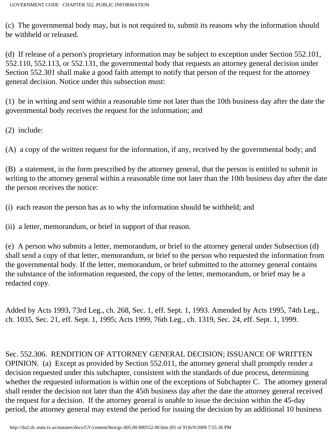(c) The governmental body may, but is not required to, submit its reasons why the information should be withheld or released.

(d) If release of a person's proprietary information may be subject to exception under Section 552.101, 552.110, 552.113, or 552.131, the governmental body that requests an attorney general decision under Section 552.301 shall make a good faith attempt to notify that person of the request for the attorney general decision. Notice under this subsection must:

(1) be in writing and sent within a reasonable time not later than the 10th business day after the date the governmental body receives the request for the information; and

(2) include:

(A) a copy of the written request for the information, if any, received by the governmental body; and

(B) a statement, in the form prescribed by the attorney general, that the person is entitled to submit in writing to the attorney general within a reasonable time not later than the 10th business day after the date the person receives the notice:

(i) each reason the person has as to why the information should be withheld; and

(ii) a letter, memorandum, or brief in support of that reason.

(e) A person who submits a letter, memorandum, or brief to the attorney general under Subsection (d) shall send a copy of that letter, memorandum, or brief to the person who requested the information from the governmental body. If the letter, memorandum, or brief submitted to the attorney general contains the substance of the information requested, the copy of the letter, memorandum, or brief may be a redacted copy.

Added by Acts 1993, 73rd Leg., ch. 268, Sec. 1, eff. Sept. 1, 1993. Amended by Acts 1995, 74th Leg., ch. 1035, Sec. 21, eff. Sept. 1, 1995; Acts 1999, 76th Leg., ch. 1319, Sec. 24, eff. Sept. 1, 1999.

Sec. 552.306. RENDITION OF ATTORNEY GENERAL DECISION; ISSUANCE OF WRITTEN OPINION. (a) Except as provided by Section 552.011, the attorney general shall promptly render a decision requested under this subchapter, consistent with the standards of due process, determining whether the requested information is within one of the exceptions of Subchapter C. The attorney general shall render the decision not later than the 45th business day after the date the attorney general received the request for a decision. If the attorney general is unable to issue the decision within the 45-day period, the attorney general may extend the period for issuing the decision by an additional 10 business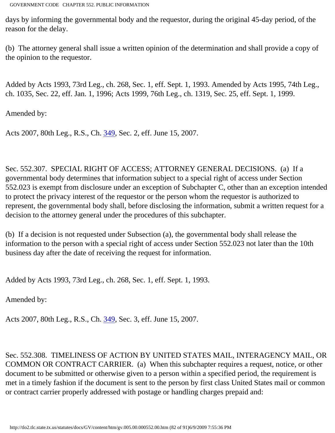days by informing the governmental body and the requestor, during the original 45-day period, of the reason for the delay.

(b) The attorney general shall issue a written opinion of the determination and shall provide a copy of the opinion to the requestor.

Added by Acts 1993, 73rd Leg., ch. 268, Sec. 1, eff. Sept. 1, 1993. Amended by Acts 1995, 74th Leg., ch. 1035, Sec. 22, eff. Jan. 1, 1996; Acts 1999, 76th Leg., ch. 1319, Sec. 25, eff. Sept. 1, 1999.

Amended by:

Acts 2007, 80th Leg., R.S., Ch. [349](http://www.legis.state.tx.us/tlodocs/80R/billtext/html/SB00175F.HTM), Sec. 2, eff. June 15, 2007.

Sec. 552.307. SPECIAL RIGHT OF ACCESS; ATTORNEY GENERAL DECISIONS. (a) If a governmental body determines that information subject to a special right of access under Section 552.023 is exempt from disclosure under an exception of Subchapter C, other than an exception intended to protect the privacy interest of the requestor or the person whom the requestor is authorized to represent, the governmental body shall, before disclosing the information, submit a written request for a decision to the attorney general under the procedures of this subchapter.

(b) If a decision is not requested under Subsection (a), the governmental body shall release the information to the person with a special right of access under Section 552.023 not later than the 10th business day after the date of receiving the request for information.

Added by Acts 1993, 73rd Leg., ch. 268, Sec. 1, eff. Sept. 1, 1993.

Amended by:

Acts 2007, 80th Leg., R.S., Ch. [349](http://www.legis.state.tx.us/tlodocs/80R/billtext/html/SB00175F.HTM), Sec. 3, eff. June 15, 2007.

Sec. 552.308. TIMELINESS OF ACTION BY UNITED STATES MAIL, INTERAGENCY MAIL, OR COMMON OR CONTRACT CARRIER. (a) When this subchapter requires a request, notice, or other document to be submitted or otherwise given to a person within a specified period, the requirement is met in a timely fashion if the document is sent to the person by first class United States mail or common or contract carrier properly addressed with postage or handling charges prepaid and: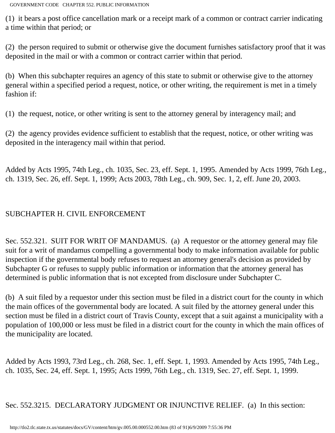(1) it bears a post office cancellation mark or a receipt mark of a common or contract carrier indicating a time within that period; or

(2) the person required to submit or otherwise give the document furnishes satisfactory proof that it was deposited in the mail or with a common or contract carrier within that period.

(b) When this subchapter requires an agency of this state to submit or otherwise give to the attorney general within a specified period a request, notice, or other writing, the requirement is met in a timely fashion if:

(1) the request, notice, or other writing is sent to the attorney general by interagency mail; and

(2) the agency provides evidence sufficient to establish that the request, notice, or other writing was deposited in the interagency mail within that period.

Added by Acts 1995, 74th Leg., ch. 1035, Sec. 23, eff. Sept. 1, 1995. Amended by Acts 1999, 76th Leg., ch. 1319, Sec. 26, eff. Sept. 1, 1999; Acts 2003, 78th Leg., ch. 909, Sec. 1, 2, eff. June 20, 2003.

## SUBCHAPTER H. CIVIL ENFORCEMENT

Sec. 552.321. SUIT FOR WRIT OF MANDAMUS. (a) A requestor or the attorney general may file suit for a writ of mandamus compelling a governmental body to make information available for public inspection if the governmental body refuses to request an attorney general's decision as provided by Subchapter G or refuses to supply public information or information that the attorney general has determined is public information that is not excepted from disclosure under Subchapter C.

(b) A suit filed by a requestor under this section must be filed in a district court for the county in which the main offices of the governmental body are located. A suit filed by the attorney general under this section must be filed in a district court of Travis County, except that a suit against a municipality with a population of 100,000 or less must be filed in a district court for the county in which the main offices of the municipality are located.

Added by Acts 1993, 73rd Leg., ch. 268, Sec. 1, eff. Sept. 1, 1993. Amended by Acts 1995, 74th Leg., ch. 1035, Sec. 24, eff. Sept. 1, 1995; Acts 1999, 76th Leg., ch. 1319, Sec. 27, eff. Sept. 1, 1999.

Sec. 552.3215. DECLARATORY JUDGMENT OR INJUNCTIVE RELIEF. (a) In this section: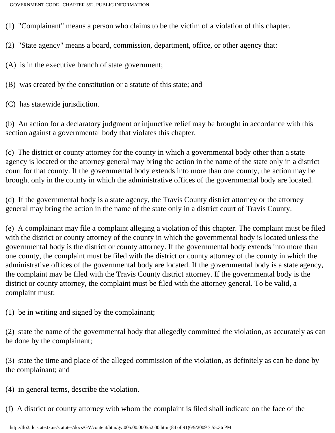(1) "Complainant" means a person who claims to be the victim of a violation of this chapter.

(2) "State agency" means a board, commission, department, office, or other agency that:

(A) is in the executive branch of state government;

(B) was created by the constitution or a statute of this state; and

(C) has statewide jurisdiction.

(b) An action for a declaratory judgment or injunctive relief may be brought in accordance with this section against a governmental body that violates this chapter.

(c) The district or county attorney for the county in which a governmental body other than a state agency is located or the attorney general may bring the action in the name of the state only in a district court for that county. If the governmental body extends into more than one county, the action may be brought only in the county in which the administrative offices of the governmental body are located.

(d) If the governmental body is a state agency, the Travis County district attorney or the attorney general may bring the action in the name of the state only in a district court of Travis County.

(e) A complainant may file a complaint alleging a violation of this chapter. The complaint must be filed with the district or county attorney of the county in which the governmental body is located unless the governmental body is the district or county attorney. If the governmental body extends into more than one county, the complaint must be filed with the district or county attorney of the county in which the administrative offices of the governmental body are located. If the governmental body is a state agency, the complaint may be filed with the Travis County district attorney. If the governmental body is the district or county attorney, the complaint must be filed with the attorney general. To be valid, a complaint must:

(1) be in writing and signed by the complainant;

(2) state the name of the governmental body that allegedly committed the violation, as accurately as can be done by the complainant;

(3) state the time and place of the alleged commission of the violation, as definitely as can be done by the complainant; and

(4) in general terms, describe the violation.

(f) A district or county attorney with whom the complaint is filed shall indicate on the face of the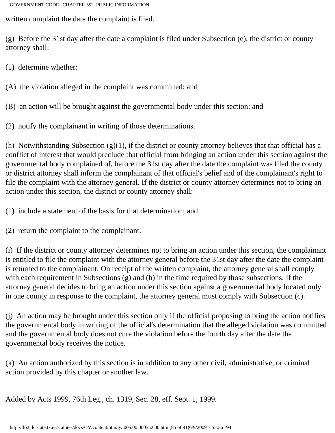written complaint the date the complaint is filed.

(g) Before the 31st day after the date a complaint is filed under Subsection (e), the district or county attorney shall:

(1) determine whether:

(A) the violation alleged in the complaint was committed; and

(B) an action will be brought against the governmental body under this section; and

(2) notify the complainant in writing of those determinations.

(h) Notwithstanding Subsection  $(g)(1)$ , if the district or county attorney believes that that official has a conflict of interest that would preclude that official from bringing an action under this section against the governmental body complained of, before the 31st day after the date the complaint was filed the county or district attorney shall inform the complainant of that official's belief and of the complainant's right to file the complaint with the attorney general. If the district or county attorney determines not to bring an action under this section, the district or county attorney shall:

(1) include a statement of the basis for that determination; and

(2) return the complaint to the complainant.

(i) If the district or county attorney determines not to bring an action under this section, the complainant is entitled to file the complaint with the attorney general before the 31st day after the date the complaint is returned to the complainant. On receipt of the written complaint, the attorney general shall comply with each requirement in Subsections (g) and (h) in the time required by those subsections. If the attorney general decides to bring an action under this section against a governmental body located only in one county in response to the complaint, the attorney general must comply with Subsection (c).

(j) An action may be brought under this section only if the official proposing to bring the action notifies the governmental body in writing of the official's determination that the alleged violation was committed and the governmental body does not cure the violation before the fourth day after the date the governmental body receives the notice.

(k) An action authorized by this section is in addition to any other civil, administrative, or criminal action provided by this chapter or another law.

Added by Acts 1999, 76th Leg., ch. 1319, Sec. 28, eff. Sept. 1, 1999.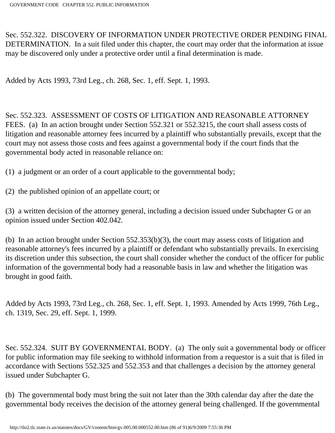Sec. 552.322. DISCOVERY OF INFORMATION UNDER PROTECTIVE ORDER PENDING FINAL DETERMINATION. In a suit filed under this chapter, the court may order that the information at issue may be discovered only under a protective order until a final determination is made.

Added by Acts 1993, 73rd Leg., ch. 268, Sec. 1, eff. Sept. 1, 1993.

Sec. 552.323. ASSESSMENT OF COSTS OF LITIGATION AND REASONABLE ATTORNEY FEES. (a) In an action brought under Section 552.321 or 552.3215, the court shall assess costs of litigation and reasonable attorney fees incurred by a plaintiff who substantially prevails, except that the court may not assess those costs and fees against a governmental body if the court finds that the governmental body acted in reasonable reliance on:

(1) a judgment or an order of a court applicable to the governmental body;

(2) the published opinion of an appellate court; or

(3) a written decision of the attorney general, including a decision issued under Subchapter G or an opinion issued under Section 402.042.

(b) In an action brought under Section 552.353(b)(3), the court may assess costs of litigation and reasonable attorney's fees incurred by a plaintiff or defendant who substantially prevails. In exercising its discretion under this subsection, the court shall consider whether the conduct of the officer for public information of the governmental body had a reasonable basis in law and whether the litigation was brought in good faith.

Added by Acts 1993, 73rd Leg., ch. 268, Sec. 1, eff. Sept. 1, 1993. Amended by Acts 1999, 76th Leg., ch. 1319, Sec. 29, eff. Sept. 1, 1999.

Sec. 552.324. SUIT BY GOVERNMENTAL BODY. (a) The only suit a governmental body or officer for public information may file seeking to withhold information from a requestor is a suit that is filed in accordance with Sections 552.325 and 552.353 and that challenges a decision by the attorney general issued under Subchapter G.

(b) The governmental body must bring the suit not later than the 30th calendar day after the date the governmental body receives the decision of the attorney general being challenged. If the governmental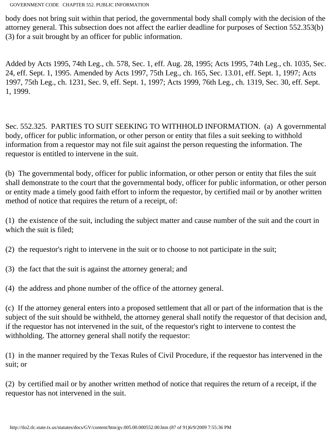body does not bring suit within that period, the governmental body shall comply with the decision of the attorney general. This subsection does not affect the earlier deadline for purposes of Section 552.353(b) (3) for a suit brought by an officer for public information.

Added by Acts 1995, 74th Leg., ch. 578, Sec. 1, eff. Aug. 28, 1995; Acts 1995, 74th Leg., ch. 1035, Sec. 24, eff. Sept. 1, 1995. Amended by Acts 1997, 75th Leg., ch. 165, Sec. 13.01, eff. Sept. 1, 1997; Acts 1997, 75th Leg., ch. 1231, Sec. 9, eff. Sept. 1, 1997; Acts 1999, 76th Leg., ch. 1319, Sec. 30, eff. Sept. 1, 1999.

Sec. 552.325. PARTIES TO SUIT SEEKING TO WITHHOLD INFORMATION. (a) A governmental body, officer for public information, or other person or entity that files a suit seeking to withhold information from a requestor may not file suit against the person requesting the information. The requestor is entitled to intervene in the suit.

(b) The governmental body, officer for public information, or other person or entity that files the suit shall demonstrate to the court that the governmental body, officer for public information, or other person or entity made a timely good faith effort to inform the requestor, by certified mail or by another written method of notice that requires the return of a receipt, of:

(1) the existence of the suit, including the subject matter and cause number of the suit and the court in which the suit is filed;

(2) the requestor's right to intervene in the suit or to choose to not participate in the suit;

(3) the fact that the suit is against the attorney general; and

(4) the address and phone number of the office of the attorney general.

(c) If the attorney general enters into a proposed settlement that all or part of the information that is the subject of the suit should be withheld, the attorney general shall notify the requestor of that decision and, if the requestor has not intervened in the suit, of the requestor's right to intervene to contest the withholding. The attorney general shall notify the requestor:

(1) in the manner required by the Texas Rules of Civil Procedure, if the requestor has intervened in the suit; or

(2) by certified mail or by another written method of notice that requires the return of a receipt, if the requestor has not intervened in the suit.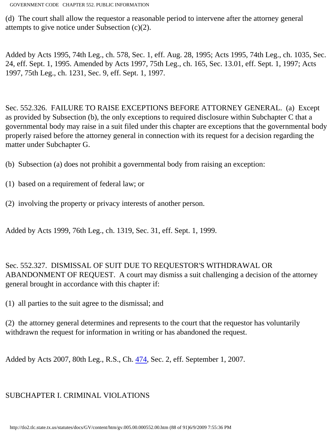(d) The court shall allow the requestor a reasonable period to intervene after the attorney general attempts to give notice under Subsection (c)(2).

Added by Acts 1995, 74th Leg., ch. 578, Sec. 1, eff. Aug. 28, 1995; Acts 1995, 74th Leg., ch. 1035, Sec. 24, eff. Sept. 1, 1995. Amended by Acts 1997, 75th Leg., ch. 165, Sec. 13.01, eff. Sept. 1, 1997; Acts 1997, 75th Leg., ch. 1231, Sec. 9, eff. Sept. 1, 1997.

Sec. 552.326. FAILURE TO RAISE EXCEPTIONS BEFORE ATTORNEY GENERAL. (a) Except as provided by Subsection (b), the only exceptions to required disclosure within Subchapter C that a governmental body may raise in a suit filed under this chapter are exceptions that the governmental body properly raised before the attorney general in connection with its request for a decision regarding the matter under Subchapter G.

- (b) Subsection (a) does not prohibit a governmental body from raising an exception:
- (1) based on a requirement of federal law; or
- (2) involving the property or privacy interests of another person.

Added by Acts 1999, 76th Leg., ch. 1319, Sec. 31, eff. Sept. 1, 1999.

Sec. 552.327. DISMISSAL OF SUIT DUE TO REQUESTOR'S WITHDRAWAL OR ABANDONMENT OF REQUEST. A court may dismiss a suit challenging a decision of the attorney general brought in accordance with this chapter if:

(1) all parties to the suit agree to the dismissal; and

(2) the attorney general determines and represents to the court that the requestor has voluntarily withdrawn the request for information in writing or has abandoned the request.

Added by Acts 2007, 80th Leg., R.S., Ch. [474,](http://www.legis.state.tx.us/tlodocs/80R/billtext/html/HB02248F.HTM) Sec. 2, eff. September 1, 2007.

# SUBCHAPTER I. CRIMINAL VIOLATIONS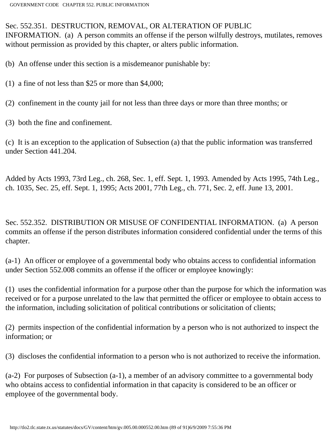#### Sec. 552.351. DESTRUCTION, REMOVAL, OR ALTERATION OF PUBLIC

INFORMATION. (a) A person commits an offense if the person wilfully destroys, mutilates, removes without permission as provided by this chapter, or alters public information.

(b) An offense under this section is a misdemeanor punishable by:

- (1) a fine of not less than \$25 or more than \$4,000;
- (2) confinement in the county jail for not less than three days or more than three months; or
- (3) both the fine and confinement.

(c) It is an exception to the application of Subsection (a) that the public information was transferred under Section 441.204.

Added by Acts 1993, 73rd Leg., ch. 268, Sec. 1, eff. Sept. 1, 1993. Amended by Acts 1995, 74th Leg., ch. 1035, Sec. 25, eff. Sept. 1, 1995; Acts 2001, 77th Leg., ch. 771, Sec. 2, eff. June 13, 2001.

Sec. 552.352. DISTRIBUTION OR MISUSE OF CONFIDENTIAL INFORMATION. (a) A person commits an offense if the person distributes information considered confidential under the terms of this chapter.

(a-1) An officer or employee of a governmental body who obtains access to confidential information under Section 552.008 commits an offense if the officer or employee knowingly:

(1) uses the confidential information for a purpose other than the purpose for which the information was received or for a purpose unrelated to the law that permitted the officer or employee to obtain access to the information, including solicitation of political contributions or solicitation of clients;

(2) permits inspection of the confidential information by a person who is not authorized to inspect the information; or

(3) discloses the confidential information to a person who is not authorized to receive the information.

(a-2) For purposes of Subsection (a-1), a member of an advisory committee to a governmental body who obtains access to confidential information in that capacity is considered to be an officer or employee of the governmental body.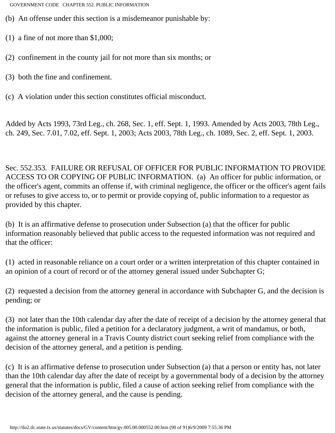- (b) An offense under this section is a misdemeanor punishable by:
- (1) a fine of not more than \$1,000;
- (2) confinement in the county jail for not more than six months; or
- (3) both the fine and confinement.
- (c) A violation under this section constitutes official misconduct.

Added by Acts 1993, 73rd Leg., ch. 268, Sec. 1, eff. Sept. 1, 1993. Amended by Acts 2003, 78th Leg., ch. 249, Sec. 7.01, 7.02, eff. Sept. 1, 2003; Acts 2003, 78th Leg., ch. 1089, Sec. 2, eff. Sept. 1, 2003.

Sec. 552.353. FAILURE OR REFUSAL OF OFFICER FOR PUBLIC INFORMATION TO PROVIDE ACCESS TO OR COPYING OF PUBLIC INFORMATION. (a) An officer for public information, or the officer's agent, commits an offense if, with criminal negligence, the officer or the officer's agent fails or refuses to give access to, or to permit or provide copying of, public information to a requestor as provided by this chapter.

(b) It is an affirmative defense to prosecution under Subsection (a) that the officer for public information reasonably believed that public access to the requested information was not required and that the officer:

(1) acted in reasonable reliance on a court order or a written interpretation of this chapter contained in an opinion of a court of record or of the attorney general issued under Subchapter G;

(2) requested a decision from the attorney general in accordance with Subchapter G, and the decision is pending; or

(3) not later than the 10th calendar day after the date of receipt of a decision by the attorney general that the information is public, filed a petition for a declaratory judgment, a writ of mandamus, or both, against the attorney general in a Travis County district court seeking relief from compliance with the decision of the attorney general, and a petition is pending.

(c) It is an affirmative defense to prosecution under Subsection (a) that a person or entity has, not later than the 10th calendar day after the date of receipt by a governmental body of a decision by the attorney general that the information is public, filed a cause of action seeking relief from compliance with the decision of the attorney general, and the cause is pending.